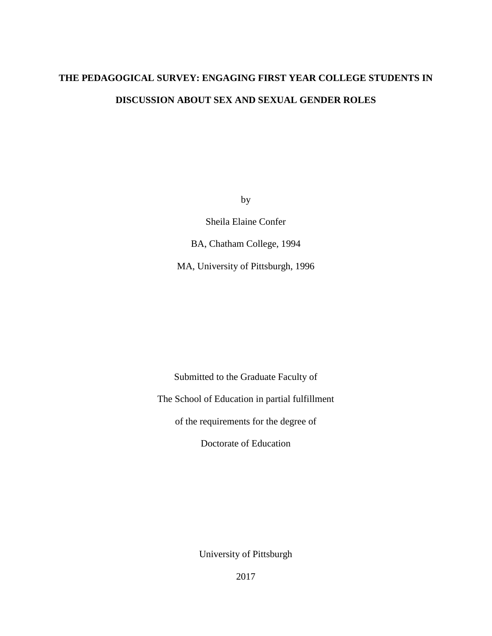# **THE PEDAGOGICAL SURVEY: ENGAGING FIRST YEAR COLLEGE STUDENTS IN DISCUSSION ABOUT SEX AND SEXUAL GENDER ROLES**

by

Sheila Elaine Confer

BA, Chatham College, 1994

MA, University of Pittsburgh, 1996

Submitted to the Graduate Faculty of The School of Education in partial fulfillment of the requirements for the degree of Doctorate of Education

University of Pittsburgh

2017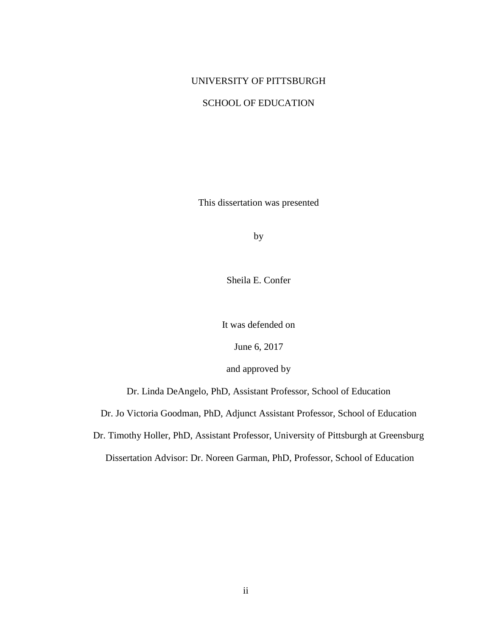# UNIVERSITY OF PITTSBURGH

# SCHOOL OF EDUCATION

This dissertation was presented

by

Sheila E. Confer

It was defended on

June 6, 2017

and approved by

Dr. Linda DeAngelo, PhD, Assistant Professor, School of Education

Dr. Jo Victoria Goodman, PhD, Adjunct Assistant Professor, School of Education

Dr. Timothy Holler, PhD, Assistant Professor, University of Pittsburgh at Greensburg

Dissertation Advisor: Dr. Noreen Garman, PhD, Professor, School of Education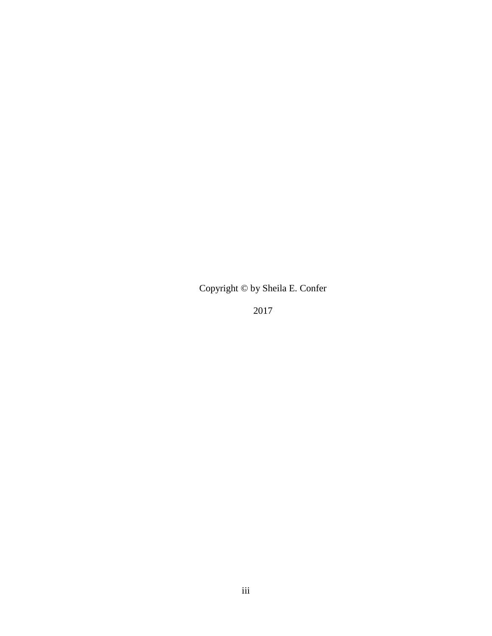Copyright © by Sheila E. Confer

2017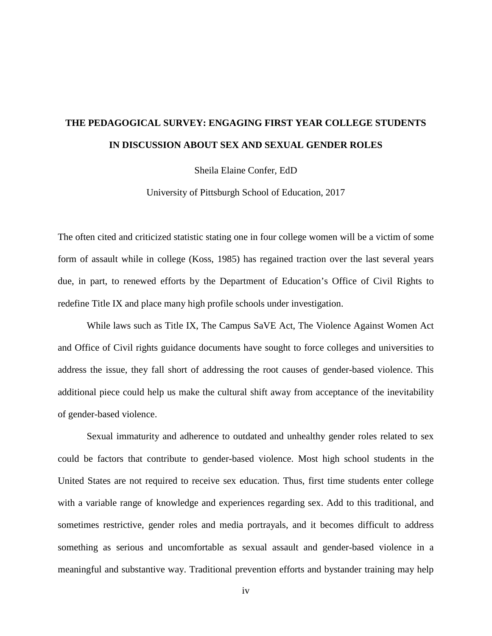# **THE PEDAGOGICAL SURVEY: ENGAGING FIRST YEAR COLLEGE STUDENTS IN DISCUSSION ABOUT SEX AND SEXUAL GENDER ROLES**

Sheila Elaine Confer, EdD

University of Pittsburgh School of Education, 2017

The often cited and criticized statistic stating one in four college women will be a victim of some form of assault while in college (Koss, 1985) has regained traction over the last several years due, in part, to renewed efforts by the Department of Education's Office of Civil Rights to redefine Title IX and place many high profile schools under investigation.

While laws such as Title IX, The Campus SaVE Act, The Violence Against Women Act and Office of Civil rights guidance documents have sought to force colleges and universities to address the issue, they fall short of addressing the root causes of gender-based violence. This additional piece could help us make the cultural shift away from acceptance of the inevitability of gender-based violence.

Sexual immaturity and adherence to outdated and unhealthy gender roles related to sex could be factors that contribute to gender-based violence. Most high school students in the United States are not required to receive sex education. Thus, first time students enter college with a variable range of knowledge and experiences regarding sex. Add to this traditional, and sometimes restrictive, gender roles and media portrayals, and it becomes difficult to address something as serious and uncomfortable as sexual assault and gender-based violence in a meaningful and substantive way. Traditional prevention efforts and bystander training may help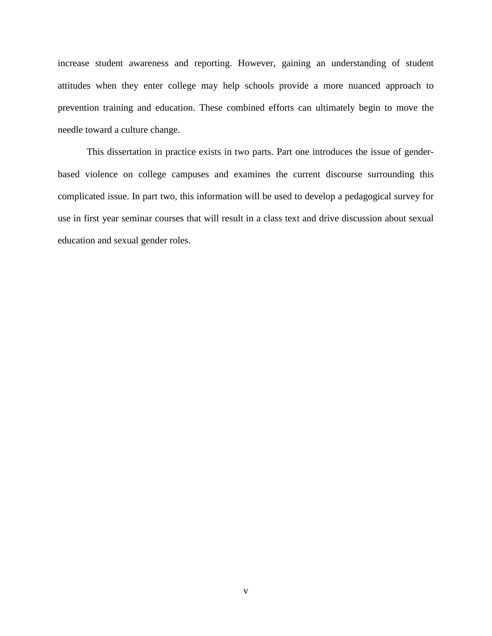increase student awareness and reporting. However, gaining an understanding of student attitudes when they enter college may help schools provide a more nuanced approach to prevention training and education. These combined efforts can ultimately begin to move the needle toward a culture change.

This dissertation in practice exists in two parts. Part one introduces the issue of genderbased violence on college campuses and examines the current discourse surrounding this complicated issue. In part two, this information will be used to develop a pedagogical survey for use in first year seminar courses that will result in a class text and drive discussion about sexual education and sexual gender roles.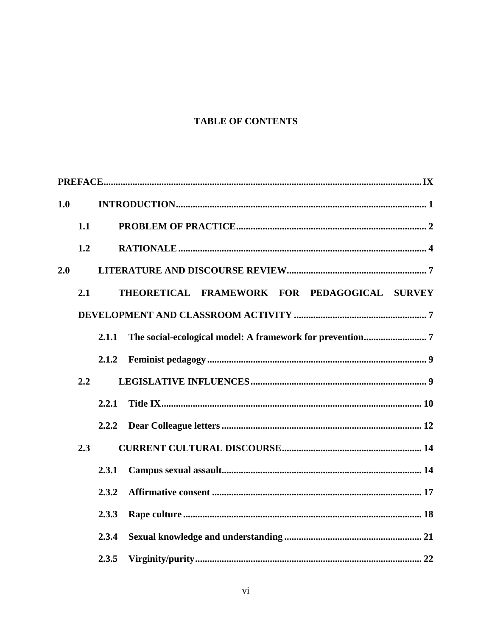# **TABLE OF CONTENTS**

| 1.0 |     |       |                                              |  |  |  |
|-----|-----|-------|----------------------------------------------|--|--|--|
|     | 1.1 |       |                                              |  |  |  |
|     | 1.2 |       |                                              |  |  |  |
| 2.0 |     |       |                                              |  |  |  |
|     | 2.1 |       | THEORETICAL FRAMEWORK FOR PEDAGOGICAL SURVEY |  |  |  |
|     |     |       |                                              |  |  |  |
|     |     | 2.1.1 |                                              |  |  |  |
|     |     | 2.1.2 |                                              |  |  |  |
|     | 2.2 |       |                                              |  |  |  |
|     |     | 2.2.1 |                                              |  |  |  |
|     |     | 2.2.2 |                                              |  |  |  |
|     | 2.3 |       |                                              |  |  |  |
|     |     | 2.3.1 |                                              |  |  |  |
|     |     | 2.3.2 |                                              |  |  |  |
|     |     | 2.3.3 |                                              |  |  |  |
|     |     | 2.3.4 |                                              |  |  |  |
|     |     | 2.3.5 |                                              |  |  |  |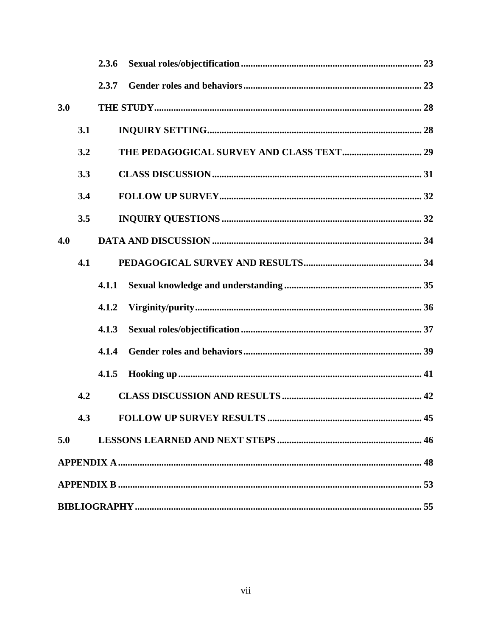|     |     | 2.3.6 |
|-----|-----|-------|
|     |     | 2.3.7 |
| 3.0 |     |       |
|     | 3.1 |       |
|     | 3.2 |       |
|     | 3.3 |       |
|     | 3.4 |       |
|     | 3.5 |       |
| 4.0 |     |       |
|     | 4.1 |       |
|     |     | 4.1.1 |
|     |     | 4.1.2 |
|     |     | 4.1.3 |
|     |     | 4.1.4 |
|     |     | 4.1.5 |
|     | 4.2 |       |
|     | 4.3 |       |
| 5.0 |     |       |
|     |     |       |
|     |     |       |
|     |     |       |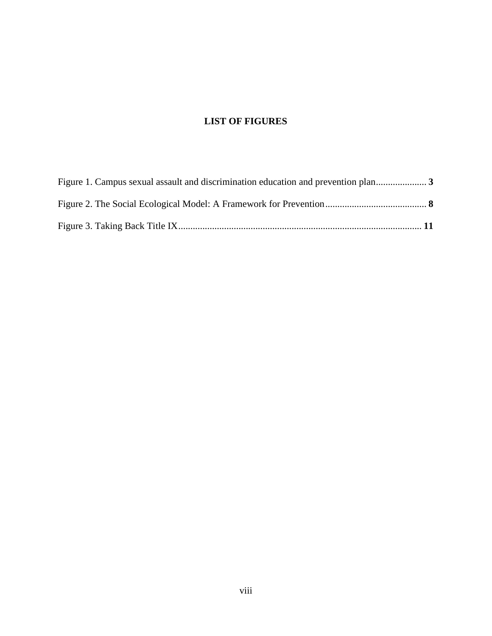# **LIST OF FIGURES**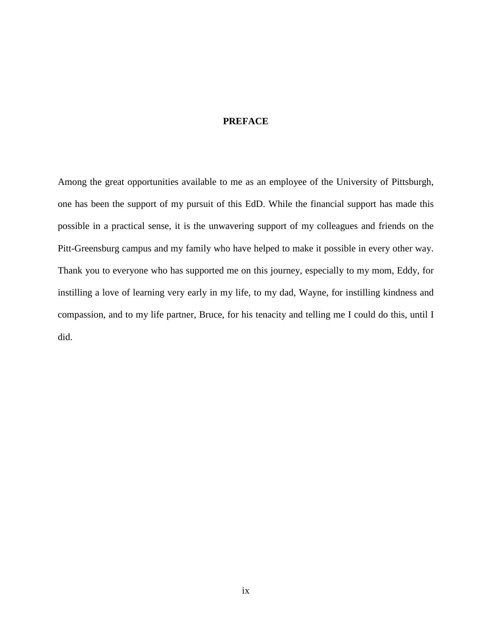# <span id="page-8-0"></span>**PREFACE**

Among the great opportunities available to me as an employee of the University of Pittsburgh, one has been the support of my pursuit of this EdD. While the financial support has made this possible in a practical sense, it is the unwavering support of my colleagues and friends on the Pitt-Greensburg campus and my family who have helped to make it possible in every other way. Thank you to everyone who has supported me on this journey, especially to my mom, Eddy, for instilling a love of learning very early in my life, to my dad, Wayne, for instilling kindness and compassion, and to my life partner, Bruce, for his tenacity and telling me I could do this, until I did.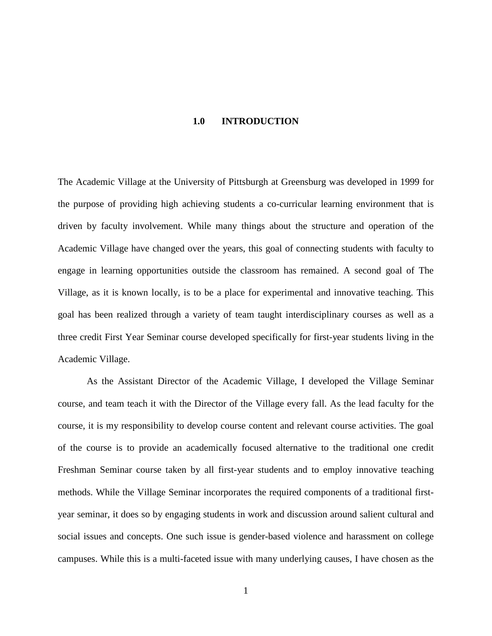#### **1.0 INTRODUCTION**

<span id="page-9-0"></span>The Academic Village at the University of Pittsburgh at Greensburg was developed in 1999 for the purpose of providing high achieving students a co-curricular learning environment that is driven by faculty involvement. While many things about the structure and operation of the Academic Village have changed over the years, this goal of connecting students with faculty to engage in learning opportunities outside the classroom has remained. A second goal of The Village, as it is known locally, is to be a place for experimental and innovative teaching. This goal has been realized through a variety of team taught interdisciplinary courses as well as a three credit First Year Seminar course developed specifically for first-year students living in the Academic Village.

As the Assistant Director of the Academic Village, I developed the Village Seminar course, and team teach it with the Director of the Village every fall. As the lead faculty for the course, it is my responsibility to develop course content and relevant course activities. The goal of the course is to provide an academically focused alternative to the traditional one credit Freshman Seminar course taken by all first-year students and to employ innovative teaching methods. While the Village Seminar incorporates the required components of a traditional firstyear seminar, it does so by engaging students in work and discussion around salient cultural and social issues and concepts. One such issue is gender-based violence and harassment on college campuses. While this is a multi-faceted issue with many underlying causes, I have chosen as the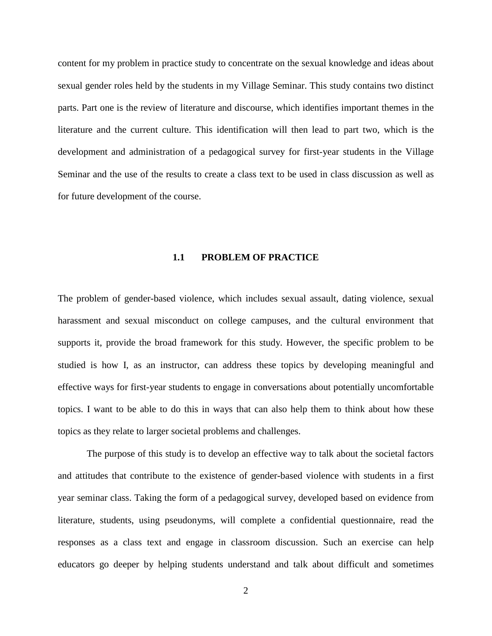content for my problem in practice study to concentrate on the sexual knowledge and ideas about sexual gender roles held by the students in my Village Seminar. This study contains two distinct parts. Part one is the review of literature and discourse, which identifies important themes in the literature and the current culture. This identification will then lead to part two, which is the development and administration of a pedagogical survey for first-year students in the Village Seminar and the use of the results to create a class text to be used in class discussion as well as for future development of the course.

#### **1.1 PROBLEM OF PRACTICE**

<span id="page-10-0"></span>The problem of gender-based violence, which includes sexual assault, dating violence, sexual harassment and sexual misconduct on college campuses, and the cultural environment that supports it, provide the broad framework for this study. However, the specific problem to be studied is how I, as an instructor, can address these topics by developing meaningful and effective ways for first-year students to engage in conversations about potentially uncomfortable topics. I want to be able to do this in ways that can also help them to think about how these topics as they relate to larger societal problems and challenges.

The purpose of this study is to develop an effective way to talk about the societal factors and attitudes that contribute to the existence of gender-based violence with students in a first year seminar class. Taking the form of a pedagogical survey, developed based on evidence from literature, students, using pseudonyms, will complete a confidential questionnaire, read the responses as a class text and engage in classroom discussion. Such an exercise can help educators go deeper by helping students understand and talk about difficult and sometimes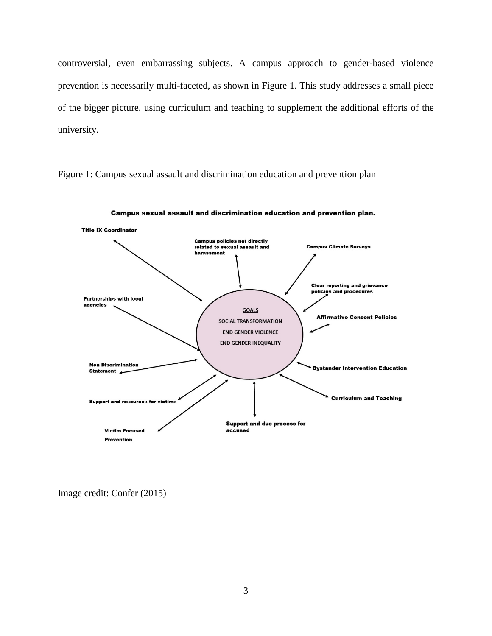<span id="page-11-0"></span>controversial, even embarrassing subjects. A campus approach to gender-based violence prevention is necessarily multi-faceted, as shown in Figure 1. This study addresses a small piece of the bigger picture, using curriculum and teaching to supplement the additional efforts of the university.



Campus sexual assault and discrimination education and prevention plan.

Figure 1: Campus sexual assault and discrimination education and prevention plan

Image credit: Confer (2015)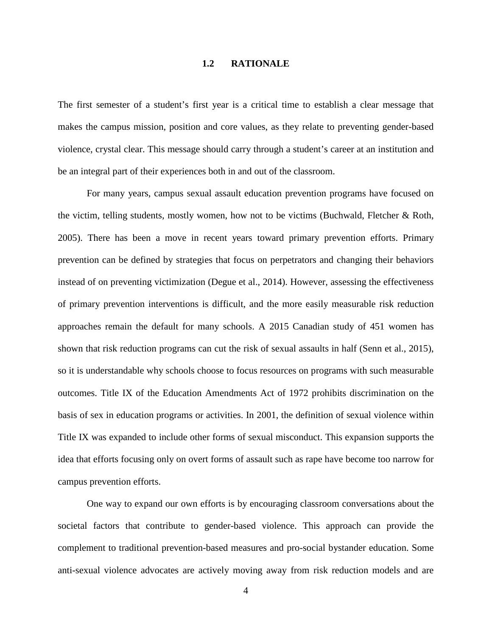# **1.2 RATIONALE**

<span id="page-12-0"></span>The first semester of a student's first year is a critical time to establish a clear message that makes the campus mission, position and core values, as they relate to preventing gender-based violence, crystal clear. This message should carry through a student's career at an institution and be an integral part of their experiences both in and out of the classroom.

For many years, campus sexual assault education prevention programs have focused on the victim, telling students, mostly women, how not to be victims (Buchwald, Fletcher & Roth, 2005). There has been a move in recent years toward primary prevention efforts. Primary prevention can be defined by strategies that focus on perpetrators and changing their behaviors instead of on preventing victimization (Degue et al., 2014). However, assessing the effectiveness of primary prevention interventions is difficult, and the more easily measurable risk reduction approaches remain the default for many schools. A 2015 Canadian study of 451 women has shown that risk reduction programs can cut the risk of sexual assaults in half (Senn et al., 2015), so it is understandable why schools choose to focus resources on programs with such measurable outcomes. Title IX of the Education Amendments Act of 1972 prohibits discrimination on the basis of sex in education programs or activities. In 2001, the definition of sexual violence within Title IX was expanded to include other forms of sexual misconduct. This expansion supports the idea that efforts focusing only on overt forms of assault such as rape have become too narrow for campus prevention efforts.

One way to expand our own efforts is by encouraging classroom conversations about the societal factors that contribute to gender-based violence. This approach can provide the complement to traditional prevention-based measures and pro-social bystander education. Some anti-sexual violence advocates are actively moving away from risk reduction models and are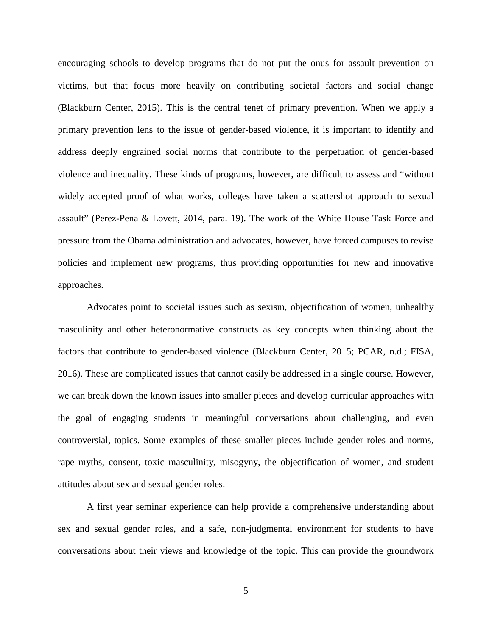encouraging schools to develop programs that do not put the onus for assault prevention on victims, but that focus more heavily on contributing societal factors and social change (Blackburn Center, 2015). This is the central tenet of primary prevention. When we apply a primary prevention lens to the issue of gender-based violence, it is important to identify and address deeply engrained social norms that contribute to the perpetuation of gender-based violence and inequality. These kinds of programs, however, are difficult to assess and "without widely accepted proof of what works, colleges have taken a scattershot approach to sexual assault" (Perez-Pena & Lovett, 2014, para. 19). The work of the White House Task Force and pressure from the Obama administration and advocates, however, have forced campuses to revise policies and implement new programs, thus providing opportunities for new and innovative approaches.

Advocates point to societal issues such as sexism, objectification of women, unhealthy masculinity and other heteronormative constructs as key concepts when thinking about the factors that contribute to gender-based violence (Blackburn Center, 2015; PCAR, n.d.; FISA, 2016). These are complicated issues that cannot easily be addressed in a single course. However, we can break down the known issues into smaller pieces and develop curricular approaches with the goal of engaging students in meaningful conversations about challenging, and even controversial, topics. Some examples of these smaller pieces include gender roles and norms, rape myths, consent, toxic masculinity, misogyny, the objectification of women, and student attitudes about sex and sexual gender roles.

A first year seminar experience can help provide a comprehensive understanding about sex and sexual gender roles, and a safe, non-judgmental environment for students to have conversations about their views and knowledge of the topic. This can provide the groundwork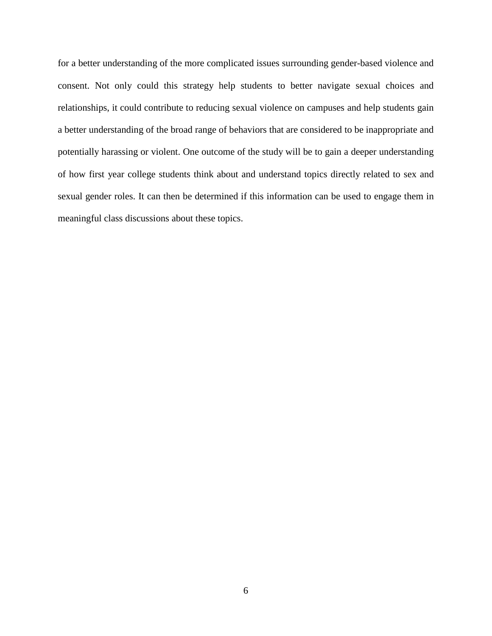for a better understanding of the more complicated issues surrounding gender-based violence and consent. Not only could this strategy help students to better navigate sexual choices and relationships, it could contribute to reducing sexual violence on campuses and help students gain a better understanding of the broad range of behaviors that are considered to be inappropriate and potentially harassing or violent. One outcome of the study will be to gain a deeper understanding of how first year college students think about and understand topics directly related to sex and sexual gender roles. It can then be determined if this information can be used to engage them in meaningful class discussions about these topics.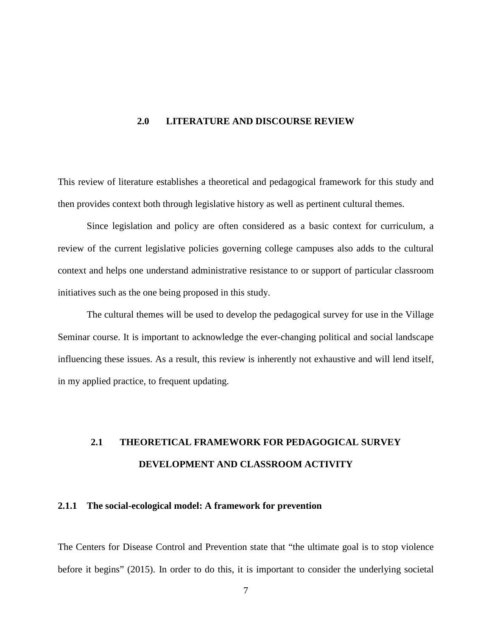#### <span id="page-15-0"></span>**2.0 LITERATURE AND DISCOURSE REVIEW**

This review of literature establishes a theoretical and pedagogical framework for this study and then provides context both through legislative history as well as pertinent cultural themes.

Since legislation and policy are often considered as a basic context for curriculum, a review of the current legislative policies governing college campuses also adds to the cultural context and helps one understand administrative resistance to or support of particular classroom initiatives such as the one being proposed in this study.

The cultural themes will be used to develop the pedagogical survey for use in the Village Seminar course. It is important to acknowledge the ever-changing political and social landscape influencing these issues. As a result, this review is inherently not exhaustive and will lend itself, in my applied practice, to frequent updating.

# <span id="page-15-1"></span>**2.1 THEORETICAL FRAMEWORK FOR PEDAGOGICAL SURVEY DEVELOPMENT AND CLASSROOM ACTIVITY**

# <span id="page-15-2"></span>**2.1.1 The social-ecological model: A framework for prevention**

The Centers for Disease Control and Prevention state that "the ultimate goal is to stop violence before it begins" (2015). In order to do this, it is important to consider the underlying societal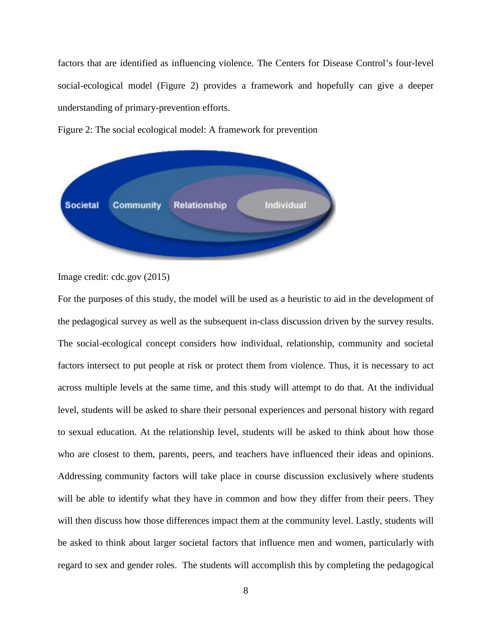<span id="page-16-0"></span>factors that are identified as influencing violence. The Centers for Disease Control's four-level social-ecological model (Figure 2) provides a framework and hopefully can give a deeper understanding of primary-prevention efforts.





Image credit: cdc.gov (2015)

For the purposes of this study, the model will be used as a heuristic to aid in the development of the pedagogical survey as well as the subsequent in-class discussion driven by the survey results. The social-ecological concept considers how individual, relationship, community and societal factors intersect to put people at risk or protect them from violence. Thus, it is necessary to act across multiple levels at the same time, and this study will attempt to do that. At the individual level, students will be asked to share their personal experiences and personal history with regard to sexual education. At the relationship level, students will be asked to think about how those who are closest to them, parents, peers, and teachers have influenced their ideas and opinions. Addressing community factors will take place in course discussion exclusively where students will be able to identify what they have in common and how they differ from their peers. They will then discuss how those differences impact them at the community level. Lastly, students will be asked to think about larger societal factors that influence men and women, particularly with regard to sex and gender roles. The students will accomplish this by completing the pedagogical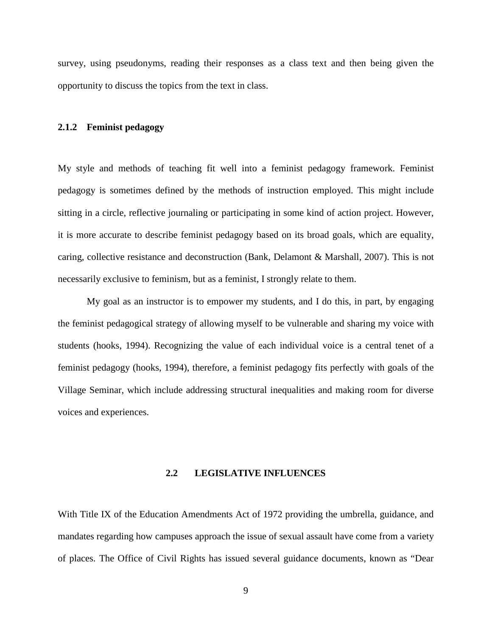survey, using pseudonyms, reading their responses as a class text and then being given the opportunity to discuss the topics from the text in class.

#### <span id="page-17-0"></span>**2.1.2 Feminist pedagogy**

My style and methods of teaching fit well into a feminist pedagogy framework. Feminist pedagogy is sometimes defined by the methods of instruction employed. This might include sitting in a circle, reflective journaling or participating in some kind of action project. However, it is more accurate to describe feminist pedagogy based on its broad goals, which are equality, caring, collective resistance and deconstruction (Bank, Delamont & Marshall, 2007). This is not necessarily exclusive to feminism, but as a feminist, I strongly relate to them.

My goal as an instructor is to empower my students, and I do this, in part, by engaging the feminist pedagogical strategy of allowing myself to be vulnerable and sharing my voice with students (hooks, 1994). Recognizing the value of each individual voice is a central tenet of a feminist pedagogy (hooks, 1994), therefore, a feminist pedagogy fits perfectly with goals of the Village Seminar, which include addressing structural inequalities and making room for diverse voices and experiences.

### **2.2 LEGISLATIVE INFLUENCES**

<span id="page-17-1"></span>With Title IX of the Education Amendments Act of 1972 providing the umbrella, guidance, and mandates regarding how campuses approach the issue of sexual assault have come from a variety of places. The Office of Civil Rights has issued several guidance documents, known as "Dear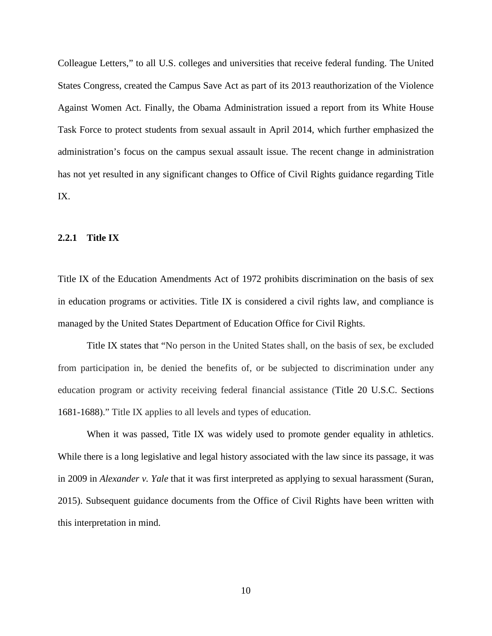Colleague Letters," to all U.S. colleges and universities that receive federal funding. The United States Congress, created the Campus Save Act as part of its 2013 reauthorization of the Violence Against Women Act. Finally, the Obama Administration issued a report from its White House Task Force to protect students from sexual assault in April 2014, which further emphasized the administration's focus on the campus sexual assault issue. The recent change in administration has not yet resulted in any significant changes to Office of Civil Rights guidance regarding Title IX.

### <span id="page-18-0"></span>**2.2.1 Title IX**

Title IX of the Education Amendments Act of 1972 prohibits discrimination on the basis of sex in education programs or activities. Title IX is considered a civil rights law, and compliance is managed by the United States Department of Education Office for Civil Rights.

Title IX states that "No person in the United States shall, on the basis of sex, be excluded from participation in, be denied the benefits of, or be subjected to discrimination under any education program or activity receiving federal financial assistance (Title 20 U.S.C. Sections 1681-1688)." Title IX applies to all levels and types of education.

When it was passed, Title IX was widely used to promote gender equality in athletics. While there is a long legislative and legal history associated with the law since its passage, it was in 2009 in *Alexander v. Yale* that it was first interpreted as applying to sexual harassment (Suran, 2015). Subsequent guidance documents from the Office of Civil Rights have been written with this interpretation in mind.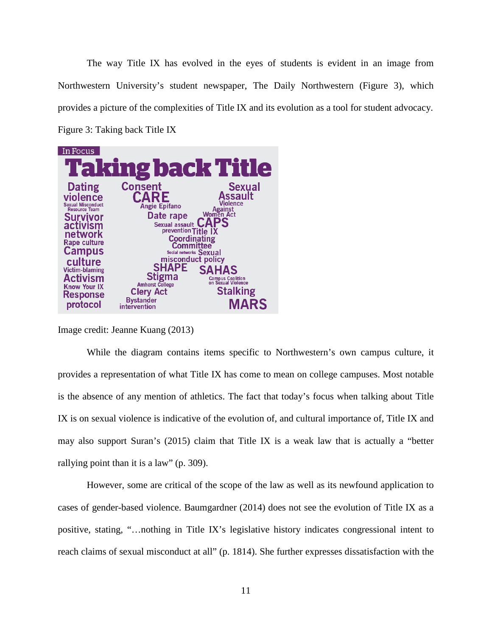<span id="page-19-0"></span>The way Title IX has evolved in the eyes of students is evident in an image from Northwestern University's student newspaper, The Daily Northwestern (Figure 3), which provides a picture of the complexities of Title IX and its evolution as a tool for student advocacy. Figure 3: Taking back Title IX



Image credit: Jeanne Kuang (2013)

While the diagram contains items specific to Northwestern's own campus culture, it provides a representation of what Title IX has come to mean on college campuses. Most notable is the absence of any mention of athletics. The fact that today's focus when talking about Title IX is on sexual violence is indicative of the evolution of, and cultural importance of, Title IX and may also support Suran's (2015) claim that Title IX is a weak law that is actually a "better rallying point than it is a law" (p. 309).

However, some are critical of the scope of the law as well as its newfound application to cases of gender-based violence. Baumgardner (2014) does not see the evolution of Title IX as a positive, stating, "…nothing in Title IX's legislative history indicates congressional intent to reach claims of sexual misconduct at all" (p. 1814). She further expresses dissatisfaction with the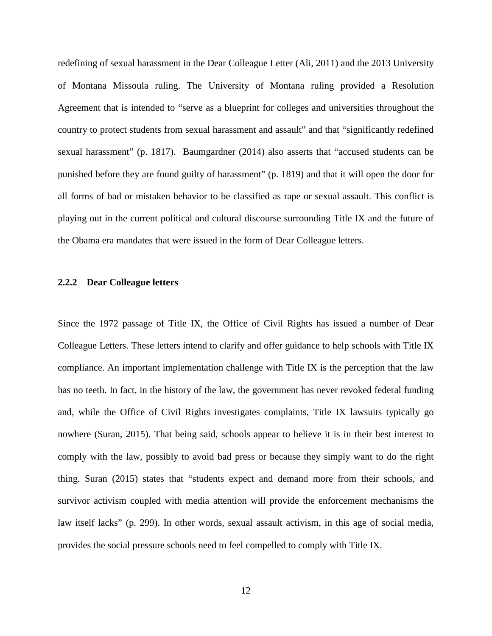redefining of sexual harassment in the Dear Colleague Letter (Ali, 2011) and the 2013 University of Montana Missoula ruling. The University of Montana ruling provided a Resolution Agreement that is intended to "serve as a blueprint for colleges and universities throughout the country to protect students from sexual harassment and assault" and that "significantly redefined sexual harassment" (p. 1817). Baumgardner (2014) also asserts that "accused students can be punished before they are found guilty of harassment" (p. 1819) and that it will open the door for all forms of bad or mistaken behavior to be classified as rape or sexual assault. This conflict is playing out in the current political and cultural discourse surrounding Title IX and the future of the Obama era mandates that were issued in the form of Dear Colleague letters.

### <span id="page-20-0"></span>**2.2.2 Dear Colleague letters**

Since the 1972 passage of Title IX, the Office of Civil Rights has issued a number of Dear Colleague Letters. These letters intend to clarify and offer guidance to help schools with Title IX compliance. An important implementation challenge with Title IX is the perception that the law has no teeth. In fact, in the history of the law, the government has never revoked federal funding and, while the Office of Civil Rights investigates complaints, Title IX lawsuits typically go nowhere (Suran, 2015). That being said, schools appear to believe it is in their best interest to comply with the law, possibly to avoid bad press or because they simply want to do the right thing. Suran (2015) states that "students expect and demand more from their schools, and survivor activism coupled with media attention will provide the enforcement mechanisms the law itself lacks" (p. 299). In other words, sexual assault activism, in this age of social media, provides the social pressure schools need to feel compelled to comply with Title IX.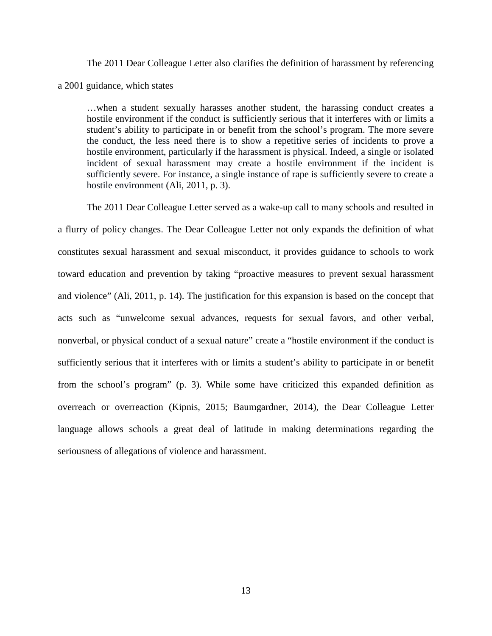The 2011 Dear Colleague Letter also clarifies the definition of harassment by referencing a 2001 guidance, which states

…when a student sexually harasses another student, the harassing conduct creates a hostile environment if the conduct is sufficiently serious that it interferes with or limits a student's ability to participate in or benefit from the school's program. The more severe the conduct, the less need there is to show a repetitive series of incidents to prove a hostile environment, particularly if the harassment is physical. Indeed, a single or isolated incident of sexual harassment may create a hostile environment if the incident is sufficiently severe. For instance, a single instance of rape is sufficiently severe to create a hostile environment (Ali, 2011, p. 3).

The 2011 Dear Colleague Letter served as a wake-up call to many schools and resulted in a flurry of policy changes. The Dear Colleague Letter not only expands the definition of what constitutes sexual harassment and sexual misconduct, it provides guidance to schools to work toward education and prevention by taking "proactive measures to prevent sexual harassment and violence" (Ali, 2011, p. 14). The justification for this expansion is based on the concept that acts such as "unwelcome sexual advances, requests for sexual favors, and other verbal, nonverbal, or physical conduct of a sexual nature" create a "hostile environment if the conduct is sufficiently serious that it interferes with or limits a student's ability to participate in or benefit from the school's program" (p. 3). While some have criticized this expanded definition as overreach or overreaction (Kipnis, 2015; Baumgardner, 2014), the Dear Colleague Letter language allows schools a great deal of latitude in making determinations regarding the seriousness of allegations of violence and harassment.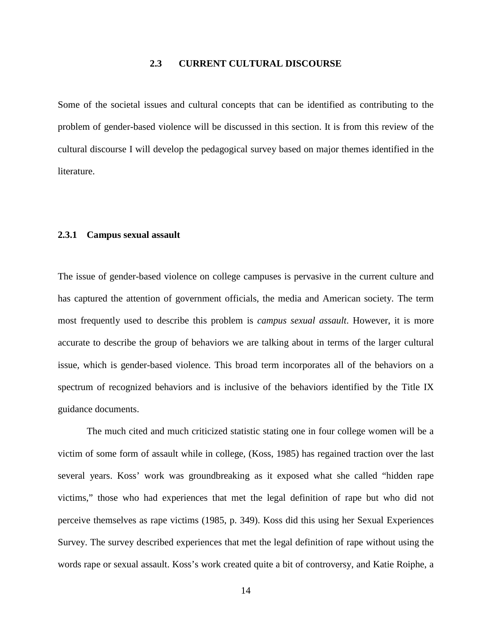# **2.3 CURRENT CULTURAL DISCOURSE**

<span id="page-22-0"></span>Some of the societal issues and cultural concepts that can be identified as contributing to the problem of gender-based violence will be discussed in this section. It is from this review of the cultural discourse I will develop the pedagogical survey based on major themes identified in the literature.

#### <span id="page-22-1"></span>**2.3.1 Campus sexual assault**

The issue of gender-based violence on college campuses is pervasive in the current culture and has captured the attention of government officials, the media and American society. The term most frequently used to describe this problem is *campus sexual assault*. However, it is more accurate to describe the group of behaviors we are talking about in terms of the larger cultural issue, which is gender-based violence. This broad term incorporates all of the behaviors on a spectrum of recognized behaviors and is inclusive of the behaviors identified by the Title IX guidance documents.

The much cited and much criticized statistic stating one in four college women will be a victim of some form of assault while in college, (Koss, 1985) has regained traction over the last several years. Koss' work was groundbreaking as it exposed what she called "hidden rape victims," those who had experiences that met the legal definition of rape but who did not perceive themselves as rape victims (1985, p. 349). Koss did this using her Sexual Experiences Survey. The survey described experiences that met the legal definition of rape without using the words rape or sexual assault. Koss's work created quite a bit of controversy, and Katie Roiphe, a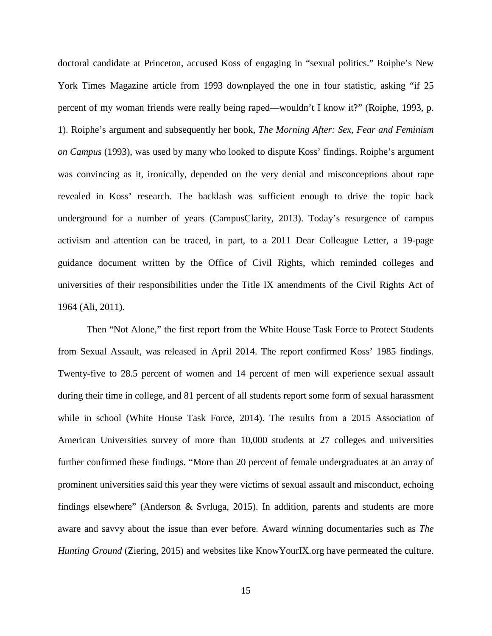doctoral candidate at Princeton, accused Koss of engaging in "sexual politics." Roiphe's New York Times Magazine article from 1993 downplayed the one in four statistic, asking "if 25 percent of my woman friends were really being raped—wouldn't I know it?" (Roiphe, 1993, p. 1). Roiphe's argument and subsequently her book, *The Morning After: Sex, Fear and Feminism on Campus* (1993), was used by many who looked to dispute Koss' findings. Roiphe's argument was convincing as it, ironically, depended on the very denial and misconceptions about rape revealed in Koss' research. The backlash was sufficient enough to drive the topic back underground for a number of years (CampusClarity, 2013). Today's resurgence of campus activism and attention can be traced, in part, to a 2011 Dear Colleague Letter, a 19-page guidance document written by the Office of Civil Rights, which reminded colleges and universities of their responsibilities under the Title IX amendments of the Civil Rights Act of 1964 (Ali, 2011).

Then "Not Alone," the first report from the White House Task Force to Protect Students from Sexual Assault, was released in April 2014. The report confirmed Koss' 1985 findings. Twenty-five to 28.5 percent of women and 14 percent of men will experience sexual assault during their time in college, and 81 percent of all students report some form of sexual harassment while in school (White House Task Force, 2014). The results from a 2015 Association of American Universities survey of more than 10,000 students at 27 colleges and universities further confirmed these findings. "More than 20 percent of female undergraduates at an array of prominent universities said this year they were victims of sexual assault and misconduct, echoing findings elsewhere" (Anderson & Svrluga, 2015). In addition, parents and students are more aware and savvy about the issue than ever before. Award winning documentaries such as *The Hunting Ground* (Ziering, 2015) and websites like KnowYourIX.org have permeated the culture.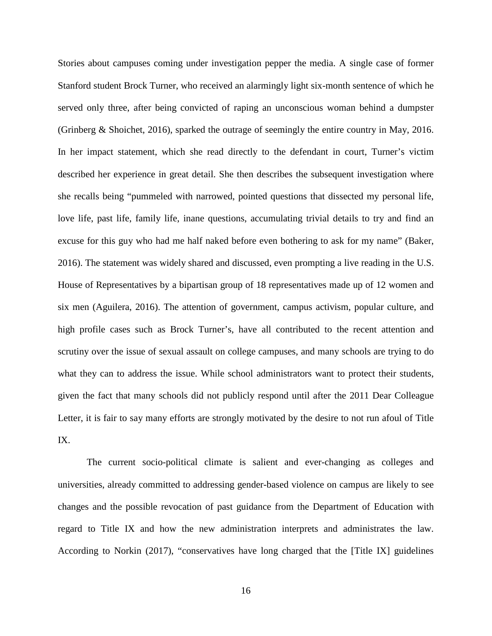Stories about campuses coming under investigation pepper the media. A single case of former Stanford student Brock Turner, who received an alarmingly light six-month sentence of which he served only three, after being convicted of raping an unconscious woman behind a dumpster (Grinberg & Shoichet, 2016), sparked the outrage of seemingly the entire country in May, 2016. In her impact statement, which she read directly to the defendant in court, Turner's victim described her experience in great detail. She then describes the subsequent investigation where she recalls being "pummeled with narrowed, pointed questions that dissected my personal life, love life, past life, family life, inane questions, accumulating trivial details to try and find an excuse for this guy who had me half naked before even bothering to ask for my name" (Baker, 2016). The statement was widely shared and discussed, even prompting a live reading in the U.S. House of Representatives by a bipartisan group of 18 representatives made up of 12 women and six men (Aguilera, 2016). The attention of government, campus activism, popular culture, and high profile cases such as Brock Turner's, have all contributed to the recent attention and scrutiny over the issue of sexual assault on college campuses, and many schools are trying to do what they can to address the issue. While school administrators want to protect their students, given the fact that many schools did not publicly respond until after the 2011 Dear Colleague Letter, it is fair to say many efforts are strongly motivated by the desire to not run afoul of Title IX.

The current socio-political climate is salient and ever-changing as colleges and universities, already committed to addressing gender-based violence on campus are likely to see changes and the possible revocation of past guidance from the Department of Education with regard to Title IX and how the new administration interprets and administrates the law. According to Norkin (2017), "conservatives have long charged that the [Title IX] guidelines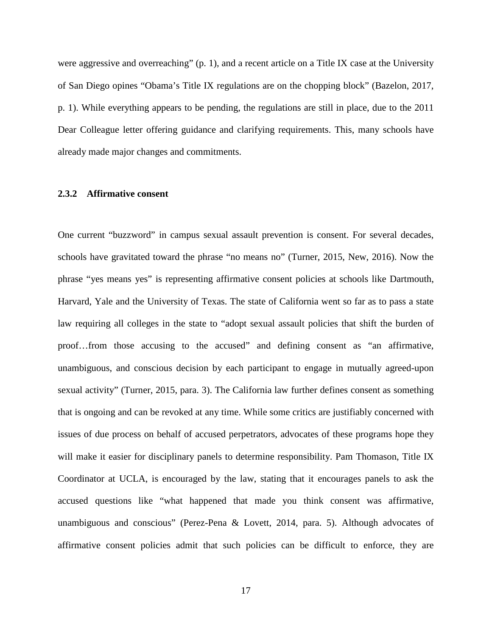were aggressive and overreaching" (p. 1), and a recent article on a Title IX case at the University of San Diego opines "Obama's Title IX regulations are on the chopping block" (Bazelon, 2017, p. 1). While everything appears to be pending, the regulations are still in place, due to the 2011 Dear Colleague letter offering guidance and clarifying requirements. This, many schools have already made major changes and commitments.

#### <span id="page-25-0"></span>**2.3.2 Affirmative consent**

One current "buzzword" in campus sexual assault prevention is consent. For several decades, schools have gravitated toward the phrase "no means no" (Turner, 2015, New, 2016). Now the phrase "yes means yes" is representing affirmative consent policies at schools like Dartmouth, Harvard, Yale and the University of Texas. The state of California went so far as to pass a state law requiring all colleges in the state to "adopt sexual assault policies that shift the burden of proof…from those accusing to the accused" and defining consent as "an affirmative, unambiguous, and conscious decision by each participant to engage in mutually agreed-upon sexual activity" (Turner, 2015, para. 3). The California law further defines consent as something that is ongoing and can be revoked at any time. While some critics are justifiably concerned with issues of due process on behalf of accused perpetrators, advocates of these programs hope they will make it easier for disciplinary panels to determine responsibility. Pam Thomason, Title IX Coordinator at UCLA, is encouraged by the law, stating that it encourages panels to ask the accused questions like "what happened that made you think consent was affirmative, unambiguous and conscious" (Perez-Pena & Lovett, 2014, para. 5). Although advocates of affirmative consent policies admit that such policies can be difficult to enforce, they are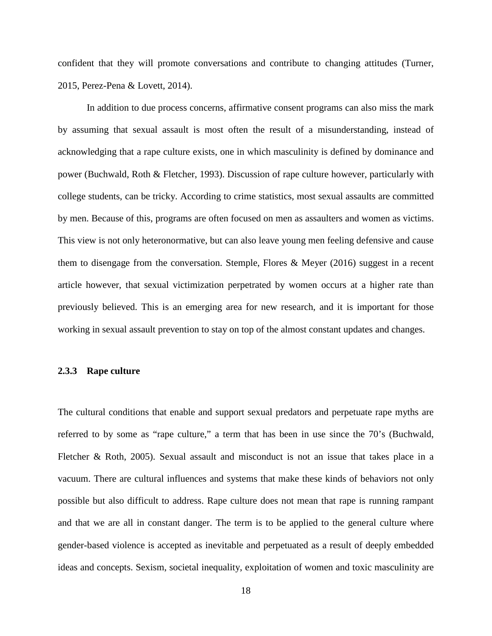confident that they will promote conversations and contribute to changing attitudes (Turner, 2015, Perez-Pena & Lovett, 2014).

In addition to due process concerns, affirmative consent programs can also miss the mark by assuming that sexual assault is most often the result of a misunderstanding, instead of acknowledging that a rape culture exists, one in which masculinity is defined by dominance and power (Buchwald, Roth & Fletcher, 1993). Discussion of rape culture however, particularly with college students, can be tricky. According to crime statistics, most sexual assaults are committed by men. Because of this, programs are often focused on men as assaulters and women as victims. This view is not only heteronormative, but can also leave young men feeling defensive and cause them to disengage from the conversation. Stemple, Flores & Meyer (2016) suggest in a recent article however, that sexual victimization perpetrated by women occurs at a higher rate than previously believed. This is an emerging area for new research, and it is important for those working in sexual assault prevention to stay on top of the almost constant updates and changes.

#### <span id="page-26-0"></span>**2.3.3 Rape culture**

The cultural conditions that enable and support sexual predators and perpetuate rape myths are referred to by some as "rape culture," a term that has been in use since the 70's (Buchwald, Fletcher & Roth, 2005). Sexual assault and misconduct is not an issue that takes place in a vacuum. There are cultural influences and systems that make these kinds of behaviors not only possible but also difficult to address. Rape culture does not mean that rape is running rampant and that we are all in constant danger. The term is to be applied to the general culture where gender-based violence is accepted as inevitable and perpetuated as a result of deeply embedded ideas and concepts. Sexism, societal inequality, exploitation of women and toxic masculinity are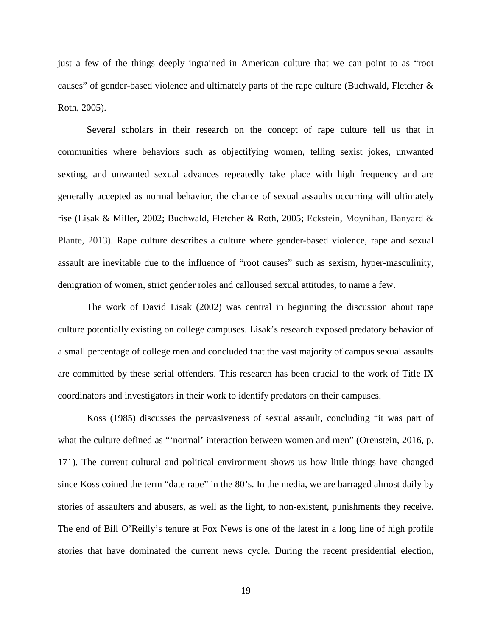just a few of the things deeply ingrained in American culture that we can point to as "root causes" of gender-based violence and ultimately parts of the rape culture (Buchwald, Fletcher & Roth, 2005).

Several scholars in their research on the concept of rape culture tell us that in communities where behaviors such as objectifying women, telling sexist jokes, unwanted sexting, and unwanted sexual advances repeatedly take place with high frequency and are generally accepted as normal behavior, the chance of sexual assaults occurring will ultimately rise (Lisak & Miller, 2002; Buchwald, Fletcher & Roth, 2005; Eckstein, Moynihan, Banyard & Plante, 2013). Rape culture describes a culture where gender-based violence, rape and sexual assault are inevitable due to the influence of "root causes" such as sexism, hyper-masculinity, denigration of women, strict gender roles and calloused sexual attitudes, to name a few.

The work of David Lisak (2002) was central in beginning the discussion about rape culture potentially existing on college campuses. Lisak's research exposed predatory behavior of a small percentage of college men and concluded that the vast majority of campus sexual assaults are committed by these serial offenders. This research has been crucial to the work of Title IX coordinators and investigators in their work to identify predators on their campuses.

Koss (1985) discusses the pervasiveness of sexual assault, concluding "it was part of what the culture defined as "'normal' interaction between women and men" (Orenstein, 2016, p. 171). The current cultural and political environment shows us how little things have changed since Koss coined the term "date rape" in the 80's. In the media, we are barraged almost daily by stories of assaulters and abusers, as well as the light, to non-existent, punishments they receive. The end of Bill O'Reilly's tenure at Fox News is one of the latest in a long line of high profile stories that have dominated the current news cycle. During the recent presidential election,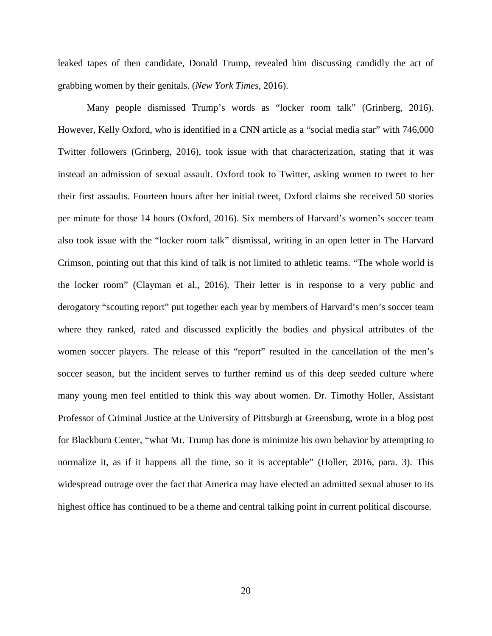leaked tapes of then candidate, Donald Trump, revealed him discussing candidly the act of grabbing women by their genitals. (*New York Times*, 2016).

Many people dismissed Trump's words as "locker room talk" (Grinberg, 2016). However, Kelly Oxford, who is identified in a CNN article as a "social media star" with 746,000 Twitter followers (Grinberg, 2016), took issue with that characterization, stating that it was instead an admission of sexual assault. Oxford took to Twitter, asking women to tweet to her their first assaults. Fourteen hours after her initial tweet, Oxford claims she received 50 stories per minute for those 14 hours (Oxford, 2016). Six members of Harvard's women's soccer team also took issue with the "locker room talk" dismissal, writing in an open letter in The Harvard Crimson, pointing out that this kind of talk is not limited to athletic teams. "The whole world is the locker room" (Clayman et al., 2016). Their letter is in response to a very public and derogatory "scouting report" put together each year by members of Harvard's men's soccer team where they ranked, rated and discussed explicitly the bodies and physical attributes of the women soccer players. The release of this "report" resulted in the cancellation of the men's soccer season, but the incident serves to further remind us of this deep seeded culture where many young men feel entitled to think this way about women. Dr. Timothy Holler, Assistant Professor of Criminal Justice at the University of Pittsburgh at Greensburg, wrote in a blog post for Blackburn Center, "what Mr. Trump has done is minimize his own behavior by attempting to normalize it, as if it happens all the time, so it is acceptable" (Holler, 2016, para. 3). This widespread outrage over the fact that America may have elected an admitted sexual abuser to its highest office has continued to be a theme and central talking point in current political discourse.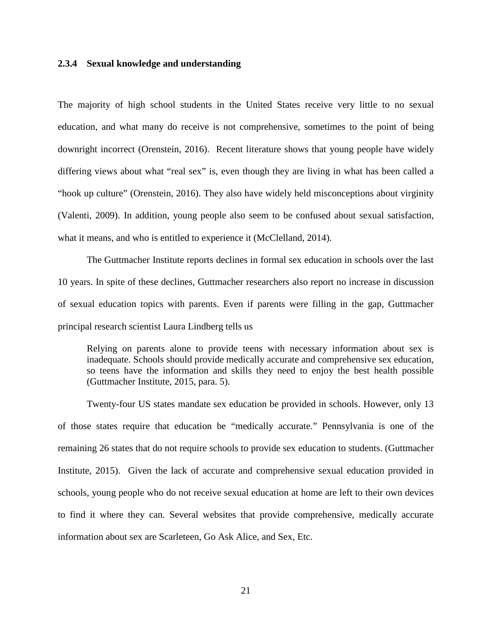#### <span id="page-29-0"></span>**2.3.4 Sexual knowledge and understanding**

The majority of high school students in the United States receive very little to no sexual education, and what many do receive is not comprehensive, sometimes to the point of being downright incorrect (Orenstein, 2016). Recent literature shows that young people have widely differing views about what "real sex" is, even though they are living in what has been called a "hook up culture" (Orenstein, 2016). They also have widely held misconceptions about virginity (Valenti, 2009). In addition, young people also seem to be confused about sexual satisfaction, what it means, and who is entitled to experience it (McClelland, 2014).

The Guttmacher Institute reports declines in formal sex education in schools over the last 10 years. In spite of these declines, Guttmacher researchers also report no increase in discussion of sexual education topics with parents. Even if parents were filling in the gap, Guttmacher principal research scientist Laura Lindberg tells us

Relying on parents alone to provide teens with necessary information about sex is inadequate. Schools should provide medically accurate and comprehensive sex education, so teens have the information and skills they need to enjoy the best health possible (Guttmacher Institute, 2015, para. 5).

Twenty-four US states mandate sex education be provided in schools. However, only 13 of those states require that education be "medically accurate." Pennsylvania is one of the remaining 26 states that do not require schools to provide sex education to students. (Guttmacher Institute, 2015). Given the lack of accurate and comprehensive sexual education provided in schools, young people who do not receive sexual education at home are left to their own devices to find it where they can. Several websites that provide comprehensive, medically accurate information about sex are Scarleteen, Go Ask Alice, and Sex, Etc.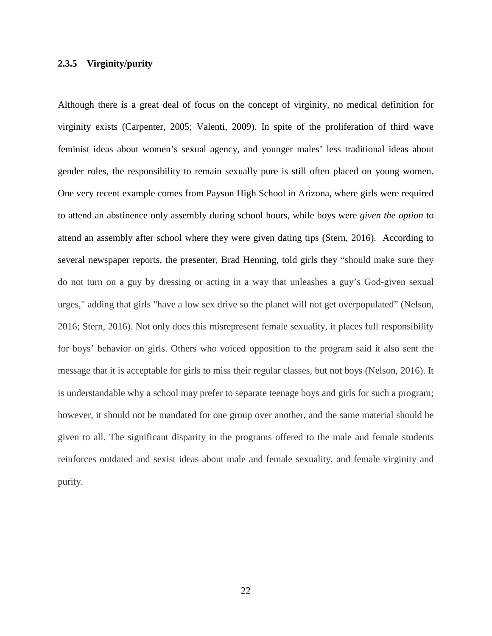### <span id="page-30-0"></span>**2.3.5 Virginity/purity**

Although there is a great deal of focus on the concept of virginity, no medical definition for virginity exists (Carpenter, 2005; Valenti, 2009). In spite of the proliferation of third wave feminist ideas about women's sexual agency, and younger males' less traditional ideas about gender roles, the responsibility to remain sexually pure is still often placed on young women. One very recent example comes from Payson High School in Arizona, where girls were required to attend an abstinence only assembly during school hours, while boys were *given the option* to attend an assembly after school where they were given dating tips (Stern, 2016). According to several newspaper reports, the presenter, Brad Henning, told girls they "should make sure they do not turn on a guy by dressing or acting in a way that unleashes a guy's God-given sexual urges," adding that girls "have a low sex drive so the planet will not get overpopulated" (Nelson, 2016; Stern, 2016). Not only does this misrepresent female sexuality, it places full responsibility for boys' behavior on girls. Others who voiced opposition to the program said it also sent the message that it is acceptable for girls to miss their regular classes, but not boys (Nelson, 2016). It is understandable why a school may prefer to separate teenage boys and girls for such a program; however, it should not be mandated for one group over another, and the same material should be given to all. The significant disparity in the programs offered to the male and female students reinforces outdated and sexist ideas about male and female sexuality, and female virginity and purity.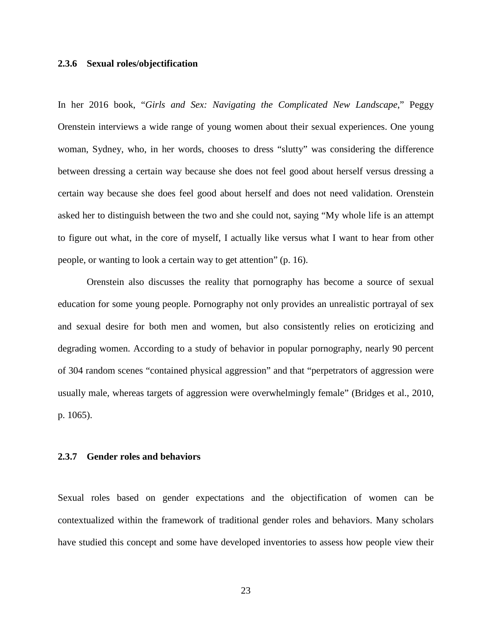#### <span id="page-31-0"></span>**2.3.6 Sexual roles/objectification**

In her 2016 book, "*Girls and Sex: Navigating the Complicated New Landscape*," Peggy Orenstein interviews a wide range of young women about their sexual experiences. One young woman, Sydney, who, in her words, chooses to dress "slutty" was considering the difference between dressing a certain way because she does not feel good about herself versus dressing a certain way because she does feel good about herself and does not need validation. Orenstein asked her to distinguish between the two and she could not, saying "My whole life is an attempt to figure out what, in the core of myself, I actually like versus what I want to hear from other people, or wanting to look a certain way to get attention" (p. 16).

Orenstein also discusses the reality that pornography has become a source of sexual education for some young people. Pornography not only provides an unrealistic portrayal of sex and sexual desire for both men and women, but also consistently relies on eroticizing and degrading women. According to a study of behavior in popular pornography, nearly 90 percent of 304 random scenes "contained physical aggression" and that "perpetrators of aggression were usually male, whereas targets of aggression were overwhelmingly female" (Bridges et al., 2010, p. 1065).

# <span id="page-31-1"></span>**2.3.7 Gender roles and behaviors**

Sexual roles based on gender expectations and the objectification of women can be contextualized within the framework of traditional gender roles and behaviors. Many scholars have studied this concept and some have developed inventories to assess how people view their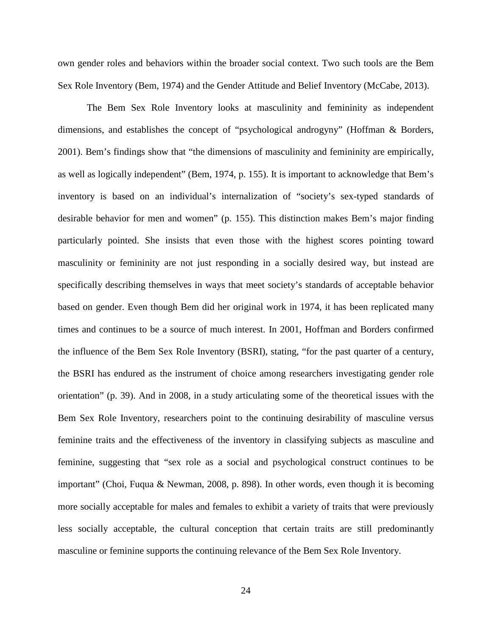own gender roles and behaviors within the broader social context. Two such tools are the Bem Sex Role Inventory (Bem, 1974) and the Gender Attitude and Belief Inventory (McCabe, 2013).

The Bem Sex Role Inventory looks at masculinity and femininity as independent dimensions, and establishes the concept of "psychological androgyny" (Hoffman & Borders, 2001). Bem's findings show that "the dimensions of masculinity and femininity are empirically, as well as logically independent" (Bem, 1974, p. 155). It is important to acknowledge that Bem's inventory is based on an individual's internalization of "society's sex-typed standards of desirable behavior for men and women" (p. 155). This distinction makes Bem's major finding particularly pointed. She insists that even those with the highest scores pointing toward masculinity or femininity are not just responding in a socially desired way, but instead are specifically describing themselves in ways that meet society's standards of acceptable behavior based on gender. Even though Bem did her original work in 1974, it has been replicated many times and continues to be a source of much interest. In 2001, Hoffman and Borders confirmed the influence of the Bem Sex Role Inventory (BSRI), stating, "for the past quarter of a century, the BSRI has endured as the instrument of choice among researchers investigating gender role orientation" (p. 39). And in 2008, in a study articulating some of the theoretical issues with the Bem Sex Role Inventory, researchers point to the continuing desirability of masculine versus feminine traits and the effectiveness of the inventory in classifying subjects as masculine and feminine, suggesting that "sex role as a social and psychological construct continues to be important" (Choi, Fuqua & Newman, 2008, p. 898). In other words, even though it is becoming more socially acceptable for males and females to exhibit a variety of traits that were previously less socially acceptable, the cultural conception that certain traits are still predominantly masculine or feminine supports the continuing relevance of the Bem Sex Role Inventory.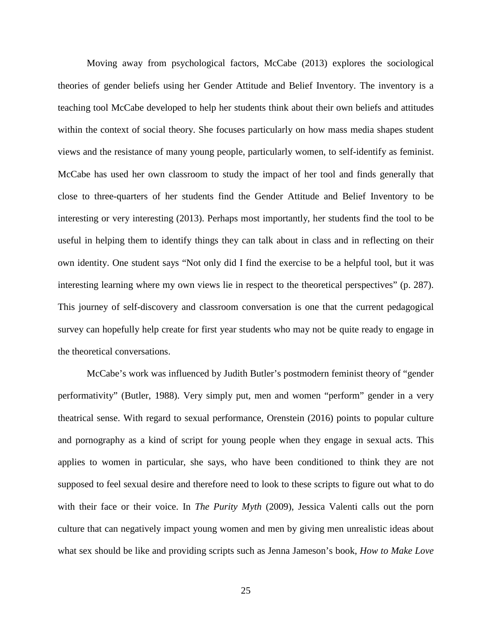Moving away from psychological factors, McCabe (2013) explores the sociological theories of gender beliefs using her Gender Attitude and Belief Inventory. The inventory is a teaching tool McCabe developed to help her students think about their own beliefs and attitudes within the context of social theory. She focuses particularly on how mass media shapes student views and the resistance of many young people, particularly women, to self-identify as feminist. McCabe has used her own classroom to study the impact of her tool and finds generally that close to three-quarters of her students find the Gender Attitude and Belief Inventory to be interesting or very interesting (2013). Perhaps most importantly, her students find the tool to be useful in helping them to identify things they can talk about in class and in reflecting on their own identity. One student says "Not only did I find the exercise to be a helpful tool, but it was interesting learning where my own views lie in respect to the theoretical perspectives" (p. 287). This journey of self-discovery and classroom conversation is one that the current pedagogical survey can hopefully help create for first year students who may not be quite ready to engage in the theoretical conversations.

McCabe's work was influenced by Judith Butler's postmodern feminist theory of "gender performativity" (Butler, 1988). Very simply put, men and women "perform" gender in a very theatrical sense. With regard to sexual performance, Orenstein (2016) points to popular culture and pornography as a kind of script for young people when they engage in sexual acts. This applies to women in particular, she says, who have been conditioned to think they are not supposed to feel sexual desire and therefore need to look to these scripts to figure out what to do with their face or their voice. In *The Purity Myth* (2009), Jessica Valenti calls out the porn culture that can negatively impact young women and men by giving men unrealistic ideas about what sex should be like and providing scripts such as Jenna Jameson's book, *How to Make Love*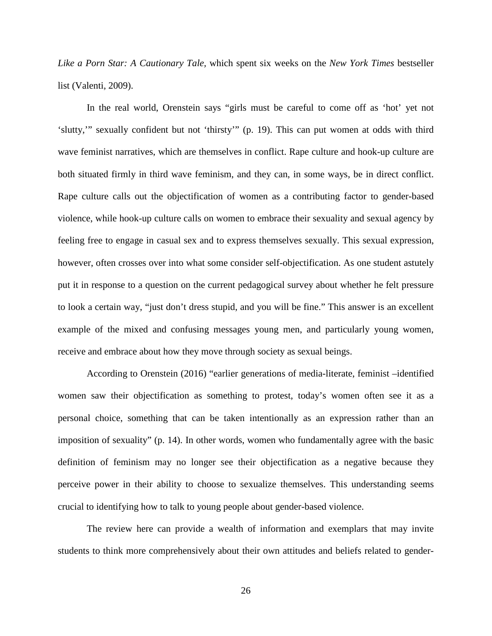*Like a Porn Star: A Cautionary Tale,* which spent six weeks on the *New York Times* bestseller list (Valenti, 2009).

In the real world, Orenstein says "girls must be careful to come off as 'hot' yet not 'slutty,'" sexually confident but not 'thirsty'" (p. 19). This can put women at odds with third wave feminist narratives, which are themselves in conflict. Rape culture and hook-up culture are both situated firmly in third wave feminism, and they can, in some ways, be in direct conflict. Rape culture calls out the objectification of women as a contributing factor to gender-based violence, while hook-up culture calls on women to embrace their sexuality and sexual agency by feeling free to engage in casual sex and to express themselves sexually. This sexual expression, however, often crosses over into what some consider self-objectification. As one student astutely put it in response to a question on the current pedagogical survey about whether he felt pressure to look a certain way, "just don't dress stupid, and you will be fine." This answer is an excellent example of the mixed and confusing messages young men, and particularly young women, receive and embrace about how they move through society as sexual beings.

According to Orenstein (2016) "earlier generations of media-literate, feminist –identified women saw their objectification as something to protest, today's women often see it as a personal choice, something that can be taken intentionally as an expression rather than an imposition of sexuality" (p. 14). In other words, women who fundamentally agree with the basic definition of feminism may no longer see their objectification as a negative because they perceive power in their ability to choose to sexualize themselves. This understanding seems crucial to identifying how to talk to young people about gender-based violence.

The review here can provide a wealth of information and exemplars that may invite students to think more comprehensively about their own attitudes and beliefs related to gender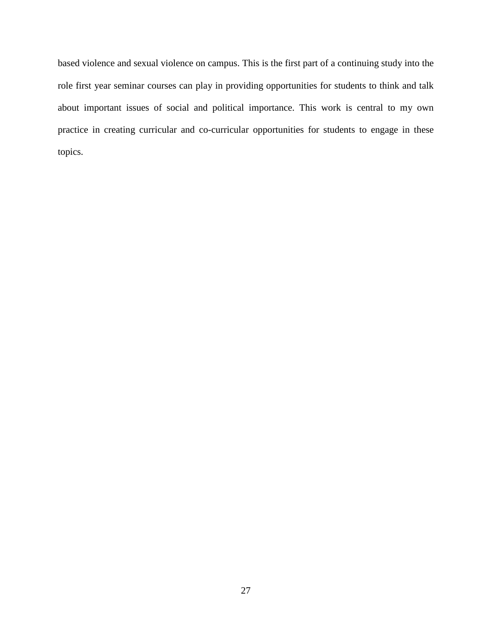based violence and sexual violence on campus. This is the first part of a continuing study into the role first year seminar courses can play in providing opportunities for students to think and talk about important issues of social and political importance. This work is central to my own practice in creating curricular and co-curricular opportunities for students to engage in these topics.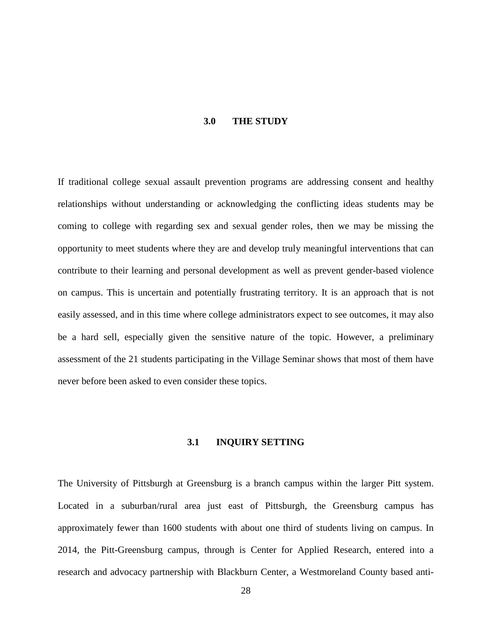#### **3.0 THE STUDY**

<span id="page-36-0"></span>If traditional college sexual assault prevention programs are addressing consent and healthy relationships without understanding or acknowledging the conflicting ideas students may be coming to college with regarding sex and sexual gender roles, then we may be missing the opportunity to meet students where they are and develop truly meaningful interventions that can contribute to their learning and personal development as well as prevent gender-based violence on campus. This is uncertain and potentially frustrating territory. It is an approach that is not easily assessed, and in this time where college administrators expect to see outcomes, it may also be a hard sell, especially given the sensitive nature of the topic. However, a preliminary assessment of the 21 students participating in the Village Seminar shows that most of them have never before been asked to even consider these topics.

# **3.1 INQUIRY SETTING**

<span id="page-36-1"></span>The University of Pittsburgh at Greensburg is a branch campus within the larger Pitt system. Located in a suburban/rural area just east of Pittsburgh, the Greensburg campus has approximately fewer than 1600 students with about one third of students living on campus. In 2014, the Pitt-Greensburg campus, through is Center for Applied Research, entered into a research and advocacy partnership with Blackburn Center, a Westmoreland County based anti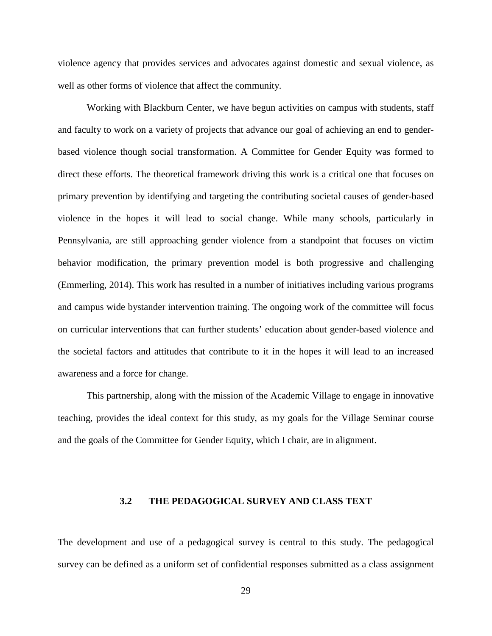violence agency that provides services and advocates against domestic and sexual violence, as well as other forms of violence that affect the community.

Working with Blackburn Center, we have begun activities on campus with students, staff and faculty to work on a variety of projects that advance our goal of achieving an end to genderbased violence though social transformation. A Committee for Gender Equity was formed to direct these efforts. The theoretical framework driving this work is a critical one that focuses on primary prevention by identifying and targeting the contributing societal causes of gender-based violence in the hopes it will lead to social change. While many schools, particularly in Pennsylvania, are still approaching gender violence from a standpoint that focuses on victim behavior modification, the primary prevention model is both progressive and challenging (Emmerling, 2014). This work has resulted in a number of initiatives including various programs and campus wide bystander intervention training. The ongoing work of the committee will focus on curricular interventions that can further students' education about gender-based violence and the societal factors and attitudes that contribute to it in the hopes it will lead to an increased awareness and a force for change.

<span id="page-37-0"></span>This partnership, along with the mission of the Academic Village to engage in innovative teaching, provides the ideal context for this study, as my goals for the Village Seminar course and the goals of the Committee for Gender Equity, which I chair, are in alignment.

#### **3.2 THE PEDAGOGICAL SURVEY AND CLASS TEXT**

The development and use of a pedagogical survey is central to this study. The pedagogical survey can be defined as a uniform set of confidential responses submitted as a class assignment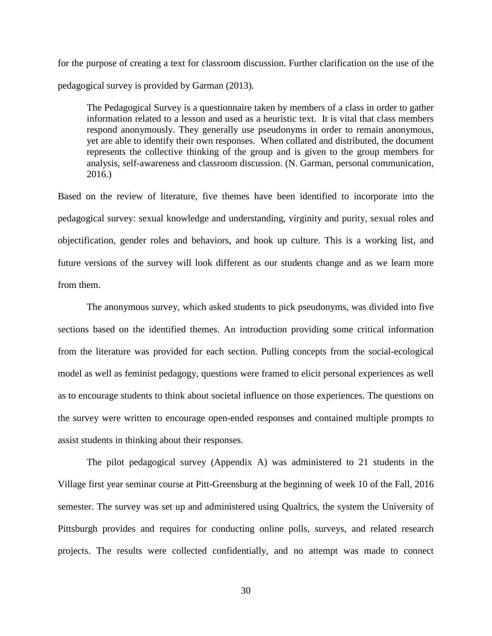for the purpose of creating a text for classroom discussion. Further clarification on the use of the pedagogical survey is provided by Garman (2013).

The Pedagogical Survey is a questionnaire taken by members of a class in order to gather information related to a lesson and used as a heuristic text. It is vital that class members respond anonymously. They generally use pseudonyms in order to remain anonymous, yet are able to identify their own responses. When collated and distributed, the document represents the collective thinking of the group and is given to the group members for analysis, self-awareness and classroom discussion. (N. Garman, personal communication, 2016.)

Based on the review of literature, five themes have been identified to incorporate into the pedagogical survey: sexual knowledge and understanding, virginity and purity, sexual roles and objectification, gender roles and behaviors, and hook up culture. This is a working list, and future versions of the survey will look different as our students change and as we learn more from them.

The anonymous survey, which asked students to pick pseudonyms, was divided into five sections based on the identified themes. An introduction providing some critical information from the literature was provided for each section. Pulling concepts from the social-ecological model as well as feminist pedagogy, questions were framed to elicit personal experiences as well as to encourage students to think about societal influence on those experiences. The questions on the survey were written to encourage open-ended responses and contained multiple prompts to assist students in thinking about their responses.

The pilot pedagogical survey (Appendix A) was administered to 21 students in the Village first year seminar course at Pitt-Greensburg at the beginning of week 10 of the Fall, 2016 semester. The survey was set up and administered using Qualtrics, the system the University of Pittsburgh provides and requires for conducting online polls, surveys, and related research projects. The results were collected confidentially, and no attempt was made to connect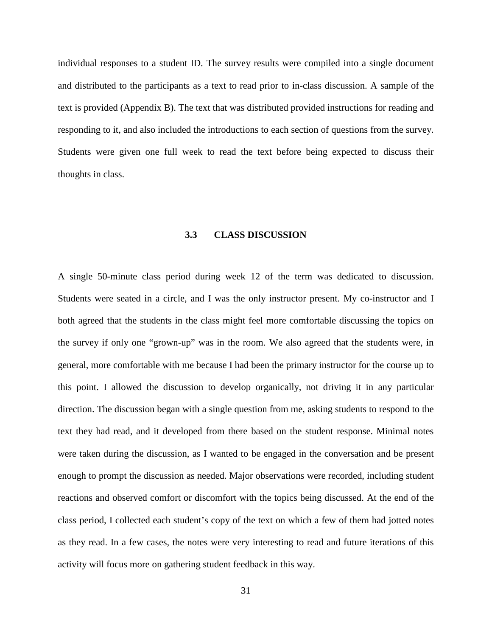individual responses to a student ID. The survey results were compiled into a single document and distributed to the participants as a text to read prior to in-class discussion. A sample of the text is provided (Appendix B). The text that was distributed provided instructions for reading and responding to it, and also included the introductions to each section of questions from the survey. Students were given one full week to read the text before being expected to discuss their thoughts in class.

#### **3.3 CLASS DISCUSSION**

<span id="page-39-0"></span>A single 50-minute class period during week 12 of the term was dedicated to discussion. Students were seated in a circle, and I was the only instructor present. My co-instructor and I both agreed that the students in the class might feel more comfortable discussing the topics on the survey if only one "grown-up" was in the room. We also agreed that the students were, in general, more comfortable with me because I had been the primary instructor for the course up to this point. I allowed the discussion to develop organically, not driving it in any particular direction. The discussion began with a single question from me, asking students to respond to the text they had read, and it developed from there based on the student response. Minimal notes were taken during the discussion, as I wanted to be engaged in the conversation and be present enough to prompt the discussion as needed. Major observations were recorded, including student reactions and observed comfort or discomfort with the topics being discussed. At the end of the class period, I collected each student's copy of the text on which a few of them had jotted notes as they read. In a few cases, the notes were very interesting to read and future iterations of this activity will focus more on gathering student feedback in this way.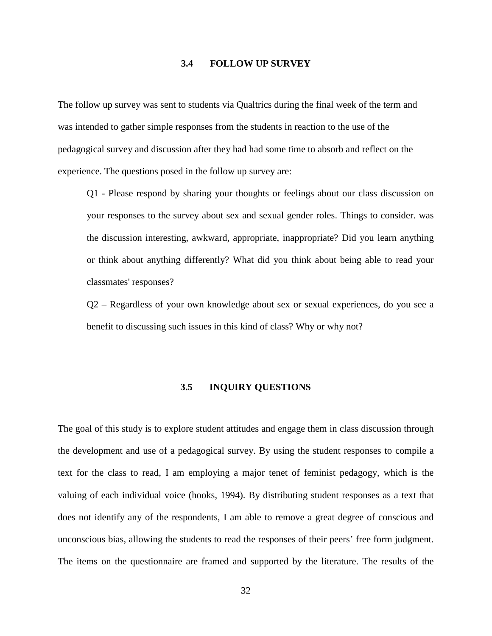#### **3.4 FOLLOW UP SURVEY**

<span id="page-40-0"></span>The follow up survey was sent to students via Qualtrics during the final week of the term and was intended to gather simple responses from the students in reaction to the use of the pedagogical survey and discussion after they had had some time to absorb and reflect on the experience. The questions posed in the follow up survey are:

Q1 - Please respond by sharing your thoughts or feelings about our class discussion on your responses to the survey about sex and sexual gender roles. Things to consider. was the discussion interesting, awkward, appropriate, inappropriate? Did you learn anything or think about anything differently? What did you think about being able to read your classmates' responses?

<span id="page-40-1"></span>Q2 – Regardless of your own knowledge about sex or sexual experiences, do you see a benefit to discussing such issues in this kind of class? Why or why not?

#### **3.5 INQUIRY QUESTIONS**

The goal of this study is to explore student attitudes and engage them in class discussion through the development and use of a pedagogical survey. By using the student responses to compile a text for the class to read, I am employing a major tenet of feminist pedagogy, which is the valuing of each individual voice (hooks, 1994). By distributing student responses as a text that does not identify any of the respondents, I am able to remove a great degree of conscious and unconscious bias, allowing the students to read the responses of their peers' free form judgment. The items on the questionnaire are framed and supported by the literature. The results of the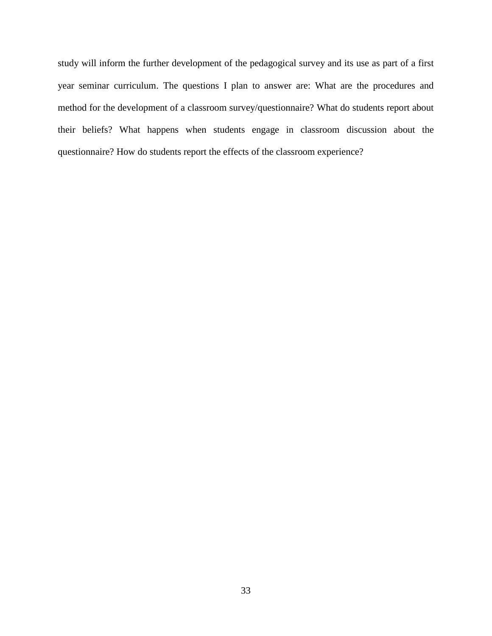study will inform the further development of the pedagogical survey and its use as part of a first year seminar curriculum. The questions I plan to answer are: What are the procedures and method for the development of a classroom survey/questionnaire? What do students report about their beliefs? What happens when students engage in classroom discussion about the questionnaire? How do students report the effects of the classroom experience?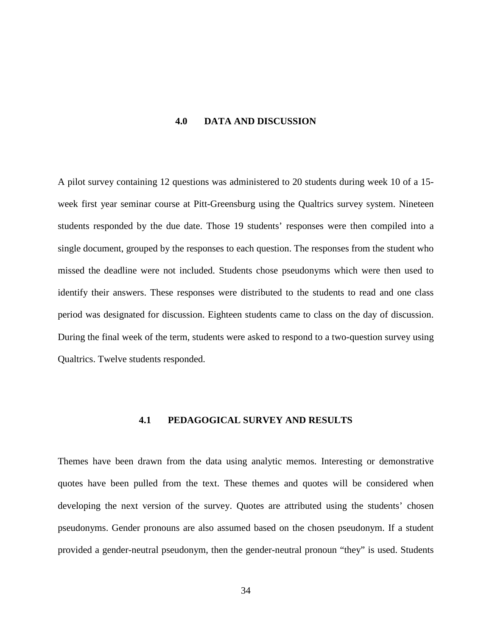#### **4.0 DATA AND DISCUSSION**

<span id="page-42-0"></span>A pilot survey containing 12 questions was administered to 20 students during week 10 of a 15 week first year seminar course at Pitt-Greensburg using the Qualtrics survey system. Nineteen students responded by the due date. Those 19 students' responses were then compiled into a single document, grouped by the responses to each question. The responses from the student who missed the deadline were not included. Students chose pseudonyms which were then used to identify their answers. These responses were distributed to the students to read and one class period was designated for discussion. Eighteen students came to class on the day of discussion. During the final week of the term, students were asked to respond to a two-question survey using Qualtrics. Twelve students responded.

#### **4.1 PEDAGOGICAL SURVEY AND RESULTS**

<span id="page-42-1"></span>Themes have been drawn from the data using analytic memos. Interesting or demonstrative quotes have been pulled from the text. These themes and quotes will be considered when developing the next version of the survey. Quotes are attributed using the students' chosen pseudonyms. Gender pronouns are also assumed based on the chosen pseudonym. If a student provided a gender-neutral pseudonym, then the gender-neutral pronoun "they" is used. Students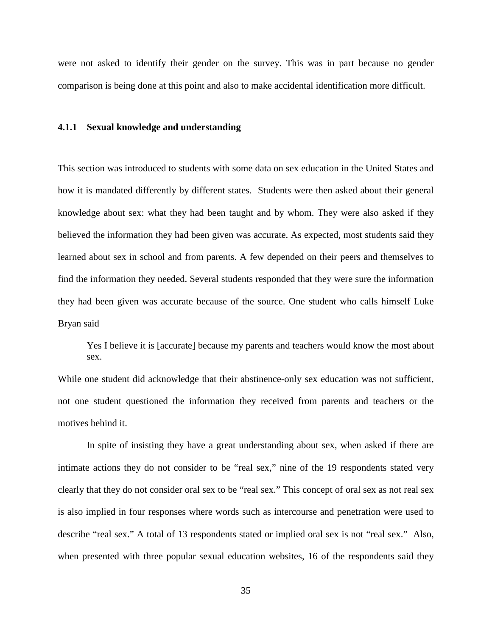were not asked to identify their gender on the survey. This was in part because no gender comparison is being done at this point and also to make accidental identification more difficult.

#### <span id="page-43-0"></span>**4.1.1 Sexual knowledge and understanding**

This section was introduced to students with some data on sex education in the United States and how it is mandated differently by different states. Students were then asked about their general knowledge about sex: what they had been taught and by whom. They were also asked if they believed the information they had been given was accurate. As expected, most students said they learned about sex in school and from parents. A few depended on their peers and themselves to find the information they needed. Several students responded that they were sure the information they had been given was accurate because of the source. One student who calls himself Luke Bryan said

Yes I believe it is [accurate] because my parents and teachers would know the most about sex.

While one student did acknowledge that their abstinence-only sex education was not sufficient, not one student questioned the information they received from parents and teachers or the motives behind it.

In spite of insisting they have a great understanding about sex, when asked if there are intimate actions they do not consider to be "real sex," nine of the 19 respondents stated very clearly that they do not consider oral sex to be "real sex." This concept of oral sex as not real sex is also implied in four responses where words such as intercourse and penetration were used to describe "real sex." A total of 13 respondents stated or implied oral sex is not "real sex." Also, when presented with three popular sexual education websites, 16 of the respondents said they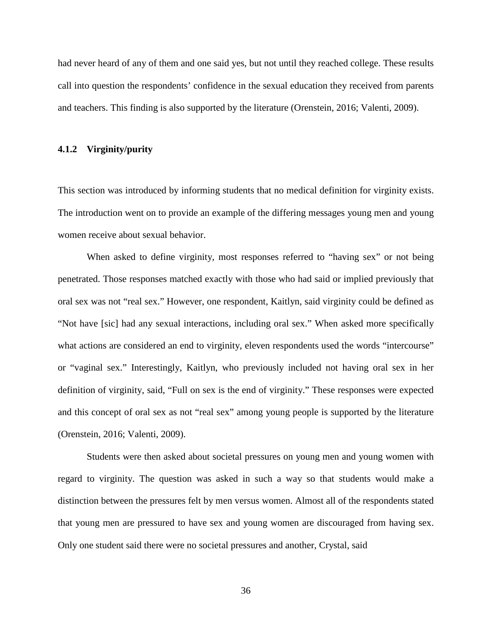had never heard of any of them and one said yes, but not until they reached college. These results call into question the respondents' confidence in the sexual education they received from parents and teachers. This finding is also supported by the literature (Orenstein, 2016; Valenti, 2009).

#### <span id="page-44-0"></span>**4.1.2 Virginity/purity**

This section was introduced by informing students that no medical definition for virginity exists. The introduction went on to provide an example of the differing messages young men and young women receive about sexual behavior.

When asked to define virginity, most responses referred to "having sex" or not being penetrated. Those responses matched exactly with those who had said or implied previously that oral sex was not "real sex." However, one respondent, Kaitlyn, said virginity could be defined as "Not have [sic] had any sexual interactions, including oral sex." When asked more specifically what actions are considered an end to virginity, eleven respondents used the words "intercourse" or "vaginal sex." Interestingly, Kaitlyn, who previously included not having oral sex in her definition of virginity, said, "Full on sex is the end of virginity." These responses were expected and this concept of oral sex as not "real sex" among young people is supported by the literature (Orenstein, 2016; Valenti, 2009).

Students were then asked about societal pressures on young men and young women with regard to virginity. The question was asked in such a way so that students would make a distinction between the pressures felt by men versus women. Almost all of the respondents stated that young men are pressured to have sex and young women are discouraged from having sex. Only one student said there were no societal pressures and another, Crystal, said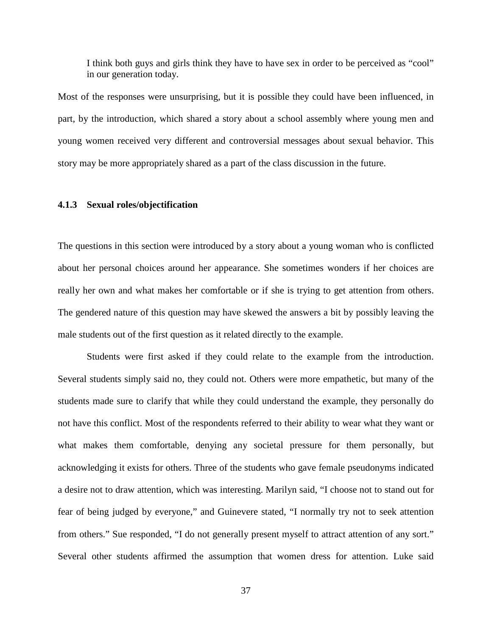I think both guys and girls think they have to have sex in order to be perceived as "cool" in our generation today.

Most of the responses were unsurprising, but it is possible they could have been influenced, in part, by the introduction, which shared a story about a school assembly where young men and young women received very different and controversial messages about sexual behavior. This story may be more appropriately shared as a part of the class discussion in the future.

# <span id="page-45-0"></span>**4.1.3 Sexual roles/objectification**

The questions in this section were introduced by a story about a young woman who is conflicted about her personal choices around her appearance. She sometimes wonders if her choices are really her own and what makes her comfortable or if she is trying to get attention from others. The gendered nature of this question may have skewed the answers a bit by possibly leaving the male students out of the first question as it related directly to the example.

Students were first asked if they could relate to the example from the introduction. Several students simply said no, they could not. Others were more empathetic, but many of the students made sure to clarify that while they could understand the example, they personally do not have this conflict. Most of the respondents referred to their ability to wear what they want or what makes them comfortable, denying any societal pressure for them personally, but acknowledging it exists for others. Three of the students who gave female pseudonyms indicated a desire not to draw attention, which was interesting. Marilyn said, "I choose not to stand out for fear of being judged by everyone," and Guinevere stated, "I normally try not to seek attention from others." Sue responded, "I do not generally present myself to attract attention of any sort." Several other students affirmed the assumption that women dress for attention. Luke said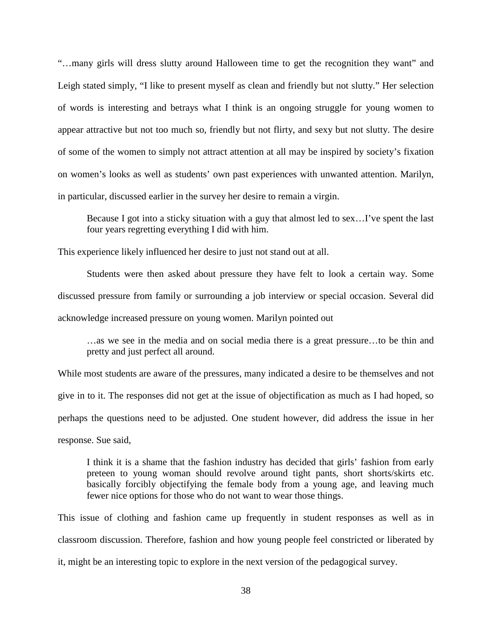"…many girls will dress slutty around Halloween time to get the recognition they want" and Leigh stated simply, "I like to present myself as clean and friendly but not slutty." Her selection of words is interesting and betrays what I think is an ongoing struggle for young women to appear attractive but not too much so, friendly but not flirty, and sexy but not slutty. The desire of some of the women to simply not attract attention at all may be inspired by society's fixation on women's looks as well as students' own past experiences with unwanted attention. Marilyn, in particular, discussed earlier in the survey her desire to remain a virgin.

Because I got into a sticky situation with a guy that almost led to sex…I've spent the last four years regretting everything I did with him.

This experience likely influenced her desire to just not stand out at all.

Students were then asked about pressure they have felt to look a certain way. Some discussed pressure from family or surrounding a job interview or special occasion. Several did acknowledge increased pressure on young women. Marilyn pointed out

…as we see in the media and on social media there is a great pressure…to be thin and pretty and just perfect all around.

While most students are aware of the pressures, many indicated a desire to be themselves and not give in to it. The responses did not get at the issue of objectification as much as I had hoped, so perhaps the questions need to be adjusted. One student however, did address the issue in her response. Sue said,

I think it is a shame that the fashion industry has decided that girls' fashion from early preteen to young woman should revolve around tight pants, short shorts/skirts etc. basically forcibly objectifying the female body from a young age, and leaving much fewer nice options for those who do not want to wear those things.

This issue of clothing and fashion came up frequently in student responses as well as in classroom discussion. Therefore, fashion and how young people feel constricted or liberated by it, might be an interesting topic to explore in the next version of the pedagogical survey.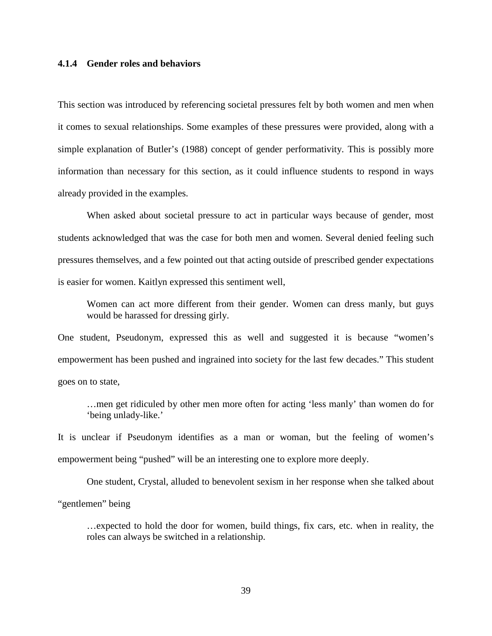#### <span id="page-47-0"></span>**4.1.4 Gender roles and behaviors**

This section was introduced by referencing societal pressures felt by both women and men when it comes to sexual relationships. Some examples of these pressures were provided, along with a simple explanation of Butler's (1988) concept of gender performativity. This is possibly more information than necessary for this section, as it could influence students to respond in ways already provided in the examples.

When asked about societal pressure to act in particular ways because of gender, most students acknowledged that was the case for both men and women. Several denied feeling such pressures themselves, and a few pointed out that acting outside of prescribed gender expectations is easier for women. Kaitlyn expressed this sentiment well,

Women can act more different from their gender. Women can dress manly, but guys would be harassed for dressing girly.

One student, Pseudonym, expressed this as well and suggested it is because "women's empowerment has been pushed and ingrained into society for the last few decades." This student goes on to state,

…men get ridiculed by other men more often for acting 'less manly' than women do for 'being unlady-like.'

It is unclear if Pseudonym identifies as a man or woman, but the feeling of women's empowerment being "pushed" will be an interesting one to explore more deeply.

One student, Crystal, alluded to benevolent sexism in her response when she talked about "gentlemen" being

…expected to hold the door for women, build things, fix cars, etc. when in reality, the roles can always be switched in a relationship.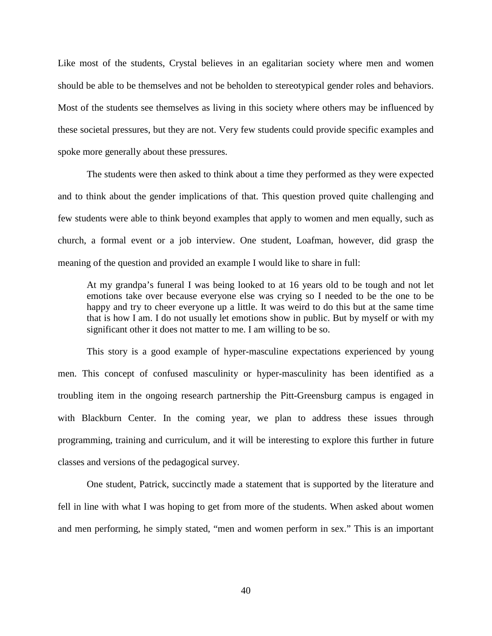Like most of the students, Crystal believes in an egalitarian society where men and women should be able to be themselves and not be beholden to stereotypical gender roles and behaviors. Most of the students see themselves as living in this society where others may be influenced by these societal pressures, but they are not. Very few students could provide specific examples and spoke more generally about these pressures.

The students were then asked to think about a time they performed as they were expected and to think about the gender implications of that. This question proved quite challenging and few students were able to think beyond examples that apply to women and men equally, such as church, a formal event or a job interview. One student, Loafman, however, did grasp the meaning of the question and provided an example I would like to share in full:

At my grandpa's funeral I was being looked to at 16 years old to be tough and not let emotions take over because everyone else was crying so I needed to be the one to be happy and try to cheer everyone up a little. It was weird to do this but at the same time that is how I am. I do not usually let emotions show in public. But by myself or with my significant other it does not matter to me. I am willing to be so.

This story is a good example of hyper-masculine expectations experienced by young men. This concept of confused masculinity or hyper-masculinity has been identified as a troubling item in the ongoing research partnership the Pitt-Greensburg campus is engaged in with Blackburn Center. In the coming year, we plan to address these issues through programming, training and curriculum, and it will be interesting to explore this further in future classes and versions of the pedagogical survey.

One student, Patrick, succinctly made a statement that is supported by the literature and fell in line with what I was hoping to get from more of the students. When asked about women and men performing, he simply stated, "men and women perform in sex." This is an important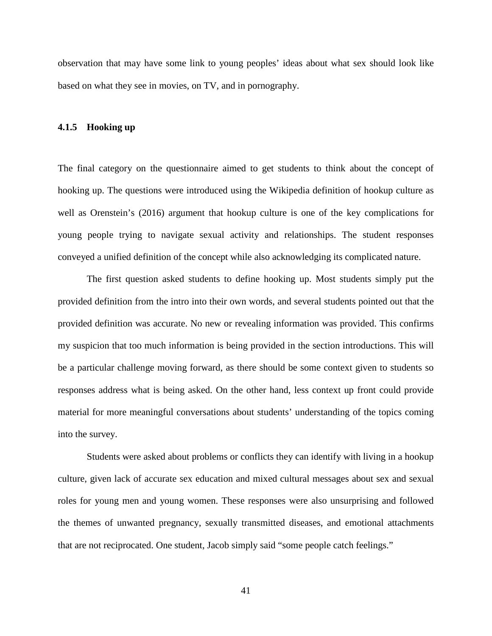observation that may have some link to young peoples' ideas about what sex should look like based on what they see in movies, on TV, and in pornography.

#### <span id="page-49-0"></span>**4.1.5 Hooking up**

The final category on the questionnaire aimed to get students to think about the concept of hooking up. The questions were introduced using the Wikipedia definition of hookup culture as well as Orenstein's (2016) argument that hookup culture is one of the key complications for young people trying to navigate sexual activity and relationships. The student responses conveyed a unified definition of the concept while also acknowledging its complicated nature.

The first question asked students to define hooking up. Most students simply put the provided definition from the intro into their own words, and several students pointed out that the provided definition was accurate. No new or revealing information was provided. This confirms my suspicion that too much information is being provided in the section introductions. This will be a particular challenge moving forward, as there should be some context given to students so responses address what is being asked. On the other hand, less context up front could provide material for more meaningful conversations about students' understanding of the topics coming into the survey.

Students were asked about problems or conflicts they can identify with living in a hookup culture, given lack of accurate sex education and mixed cultural messages about sex and sexual roles for young men and young women. These responses were also unsurprising and followed the themes of unwanted pregnancy, sexually transmitted diseases, and emotional attachments that are not reciprocated. One student, Jacob simply said "some people catch feelings."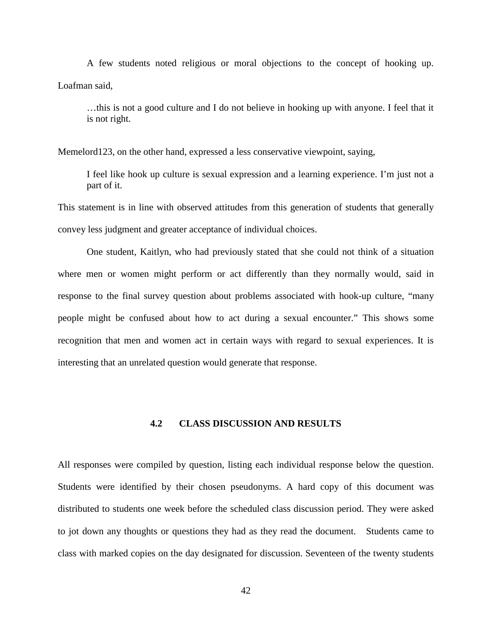A few students noted religious or moral objections to the concept of hooking up. Loafman said,

…this is not a good culture and I do not believe in hooking up with anyone. I feel that it is not right.

Memelord123, on the other hand, expressed a less conservative viewpoint, saying,

I feel like hook up culture is sexual expression and a learning experience. I'm just not a part of it.

This statement is in line with observed attitudes from this generation of students that generally convey less judgment and greater acceptance of individual choices.

One student, Kaitlyn, who had previously stated that she could not think of a situation where men or women might perform or act differently than they normally would, said in response to the final survey question about problems associated with hook-up culture, "many people might be confused about how to act during a sexual encounter." This shows some recognition that men and women act in certain ways with regard to sexual experiences. It is interesting that an unrelated question would generate that response.

## **4.2 CLASS DISCUSSION AND RESULTS**

<span id="page-50-0"></span>All responses were compiled by question, listing each individual response below the question. Students were identified by their chosen pseudonyms. A hard copy of this document was distributed to students one week before the scheduled class discussion period. They were asked to jot down any thoughts or questions they had as they read the document. Students came to class with marked copies on the day designated for discussion. Seventeen of the twenty students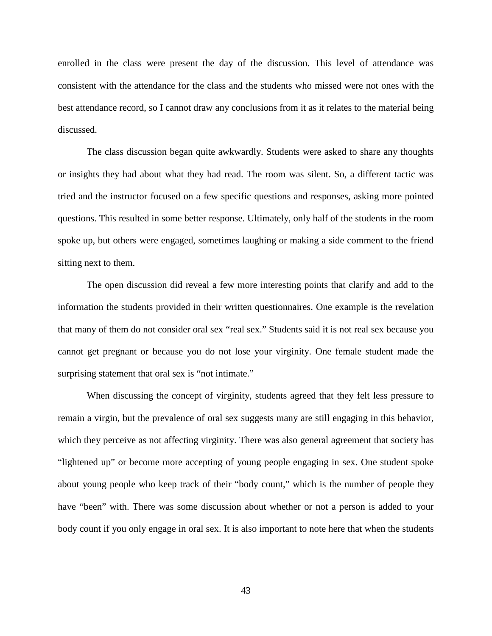enrolled in the class were present the day of the discussion. This level of attendance was consistent with the attendance for the class and the students who missed were not ones with the best attendance record, so I cannot draw any conclusions from it as it relates to the material being discussed.

The class discussion began quite awkwardly. Students were asked to share any thoughts or insights they had about what they had read. The room was silent. So, a different tactic was tried and the instructor focused on a few specific questions and responses, asking more pointed questions. This resulted in some better response. Ultimately, only half of the students in the room spoke up, but others were engaged, sometimes laughing or making a side comment to the friend sitting next to them.

The open discussion did reveal a few more interesting points that clarify and add to the information the students provided in their written questionnaires. One example is the revelation that many of them do not consider oral sex "real sex." Students said it is not real sex because you cannot get pregnant or because you do not lose your virginity. One female student made the surprising statement that oral sex is "not intimate."

When discussing the concept of virginity, students agreed that they felt less pressure to remain a virgin, but the prevalence of oral sex suggests many are still engaging in this behavior, which they perceive as not affecting virginity. There was also general agreement that society has "lightened up" or become more accepting of young people engaging in sex. One student spoke about young people who keep track of their "body count," which is the number of people they have "been" with. There was some discussion about whether or not a person is added to your body count if you only engage in oral sex. It is also important to note here that when the students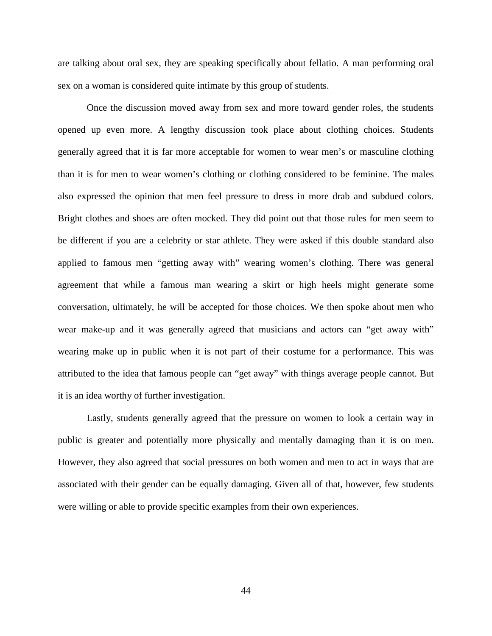are talking about oral sex, they are speaking specifically about fellatio. A man performing oral sex on a woman is considered quite intimate by this group of students.

Once the discussion moved away from sex and more toward gender roles, the students opened up even more. A lengthy discussion took place about clothing choices. Students generally agreed that it is far more acceptable for women to wear men's or masculine clothing than it is for men to wear women's clothing or clothing considered to be feminine. The males also expressed the opinion that men feel pressure to dress in more drab and subdued colors. Bright clothes and shoes are often mocked. They did point out that those rules for men seem to be different if you are a celebrity or star athlete. They were asked if this double standard also applied to famous men "getting away with" wearing women's clothing. There was general agreement that while a famous man wearing a skirt or high heels might generate some conversation, ultimately, he will be accepted for those choices. We then spoke about men who wear make-up and it was generally agreed that musicians and actors can "get away with" wearing make up in public when it is not part of their costume for a performance. This was attributed to the idea that famous people can "get away" with things average people cannot. But it is an idea worthy of further investigation.

Lastly, students generally agreed that the pressure on women to look a certain way in public is greater and potentially more physically and mentally damaging than it is on men. However, they also agreed that social pressures on both women and men to act in ways that are associated with their gender can be equally damaging. Given all of that, however, few students were willing or able to provide specific examples from their own experiences.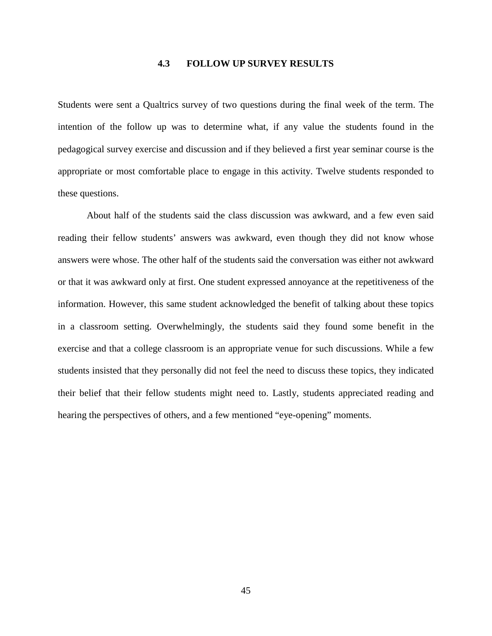# **4.3 FOLLOW UP SURVEY RESULTS**

<span id="page-53-0"></span>Students were sent a Qualtrics survey of two questions during the final week of the term. The intention of the follow up was to determine what, if any value the students found in the pedagogical survey exercise and discussion and if they believed a first year seminar course is the appropriate or most comfortable place to engage in this activity. Twelve students responded to these questions.

About half of the students said the class discussion was awkward, and a few even said reading their fellow students' answers was awkward, even though they did not know whose answers were whose. The other half of the students said the conversation was either not awkward or that it was awkward only at first. One student expressed annoyance at the repetitiveness of the information. However, this same student acknowledged the benefit of talking about these topics in a classroom setting. Overwhelmingly, the students said they found some benefit in the exercise and that a college classroom is an appropriate venue for such discussions. While a few students insisted that they personally did not feel the need to discuss these topics, they indicated their belief that their fellow students might need to. Lastly, students appreciated reading and hearing the perspectives of others, and a few mentioned "eye-opening" moments.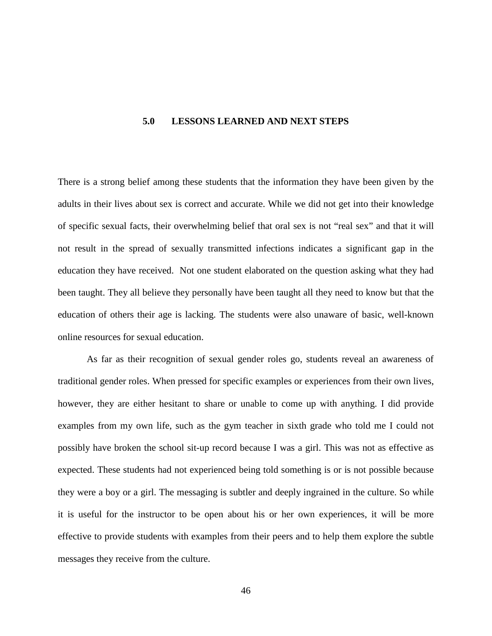#### <span id="page-54-0"></span>**5.0 LESSONS LEARNED AND NEXT STEPS**

There is a strong belief among these students that the information they have been given by the adults in their lives about sex is correct and accurate. While we did not get into their knowledge of specific sexual facts, their overwhelming belief that oral sex is not "real sex" and that it will not result in the spread of sexually transmitted infections indicates a significant gap in the education they have received. Not one student elaborated on the question asking what they had been taught. They all believe they personally have been taught all they need to know but that the education of others their age is lacking. The students were also unaware of basic, well-known online resources for sexual education.

As far as their recognition of sexual gender roles go, students reveal an awareness of traditional gender roles. When pressed for specific examples or experiences from their own lives, however, they are either hesitant to share or unable to come up with anything. I did provide examples from my own life, such as the gym teacher in sixth grade who told me I could not possibly have broken the school sit-up record because I was a girl. This was not as effective as expected. These students had not experienced being told something is or is not possible because they were a boy or a girl. The messaging is subtler and deeply ingrained in the culture. So while it is useful for the instructor to be open about his or her own experiences, it will be more effective to provide students with examples from their peers and to help them explore the subtle messages they receive from the culture.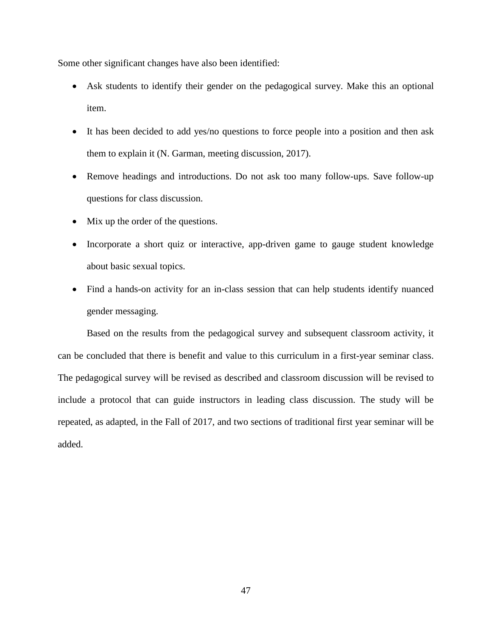Some other significant changes have also been identified:

- Ask students to identify their gender on the pedagogical survey. Make this an optional item.
- It has been decided to add yes/no questions to force people into a position and then ask them to explain it (N. Garman, meeting discussion, 2017).
- Remove headings and introductions. Do not ask too many follow-ups. Save follow-up questions for class discussion.
- Mix up the order of the questions.
- Incorporate a short quiz or interactive, app-driven game to gauge student knowledge about basic sexual topics.
- Find a hands-on activity for an in-class session that can help students identify nuanced gender messaging.

Based on the results from the pedagogical survey and subsequent classroom activity, it can be concluded that there is benefit and value to this curriculum in a first-year seminar class. The pedagogical survey will be revised as described and classroom discussion will be revised to include a protocol that can guide instructors in leading class discussion. The study will be repeated, as adapted, in the Fall of 2017, and two sections of traditional first year seminar will be added.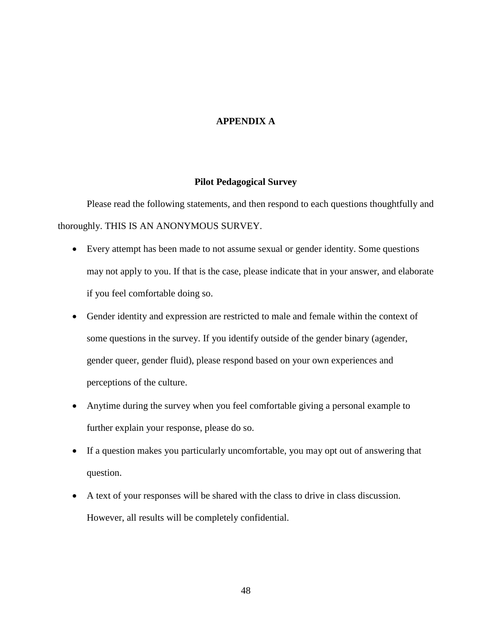# **APPENDIX A**

### **Pilot Pedagogical Survey**

<span id="page-56-0"></span>Please read the following statements, and then respond to each questions thoughtfully and thoroughly. THIS IS AN ANONYMOUS SURVEY.

- Every attempt has been made to not assume sexual or gender identity. Some questions may not apply to you. If that is the case, please indicate that in your answer, and elaborate if you feel comfortable doing so.
- Gender identity and expression are restricted to male and female within the context of some questions in the survey. If you identify outside of the gender binary (agender, gender queer, gender fluid), please respond based on your own experiences and perceptions of the culture.
- Anytime during the survey when you feel comfortable giving a personal example to further explain your response, please do so.
- If a question makes you particularly uncomfortable, you may opt out of answering that question.
- A text of your responses will be shared with the class to drive in class discussion. However, all results will be completely confidential.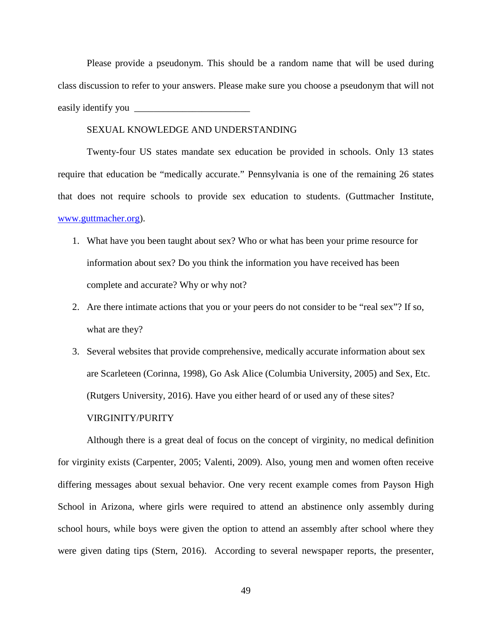Please provide a pseudonym. This should be a random name that will be used during class discussion to refer to your answers. Please make sure you choose a pseudonym that will not easily identify you

#### SEXUAL KNOWLEDGE AND UNDERSTANDING

Twenty-four US states mandate sex education be provided in schools. Only 13 states require that education be "medically accurate." Pennsylvania is one of the remaining 26 states that does not require schools to provide sex education to students. (Guttmacher Institute, [www.guttmacher.org\)](http://www.guttmacher.org/).

- 1. What have you been taught about sex? Who or what has been your prime resource for information about sex? Do you think the information you have received has been complete and accurate? Why or why not?
- 2. Are there intimate actions that you or your peers do not consider to be "real sex"? If so, what are they?
- 3. Several websites that provide comprehensive, medically accurate information about sex are Scarleteen (Corinna, 1998), Go Ask Alice (Columbia University, 2005) and Sex, Etc. (Rutgers University, 2016). Have you either heard of or used any of these sites? VIRGINITY/PURITY

Although there is a great deal of focus on the concept of virginity, no medical definition for virginity exists (Carpenter, 2005; Valenti, 2009). Also, young men and women often receive differing messages about sexual behavior. One very recent example comes from Payson High School in Arizona, where girls were required to attend an abstinence only assembly during school hours, while boys were given the option to attend an assembly after school where they were given dating tips (Stern, 2016). According to several newspaper reports, the presenter,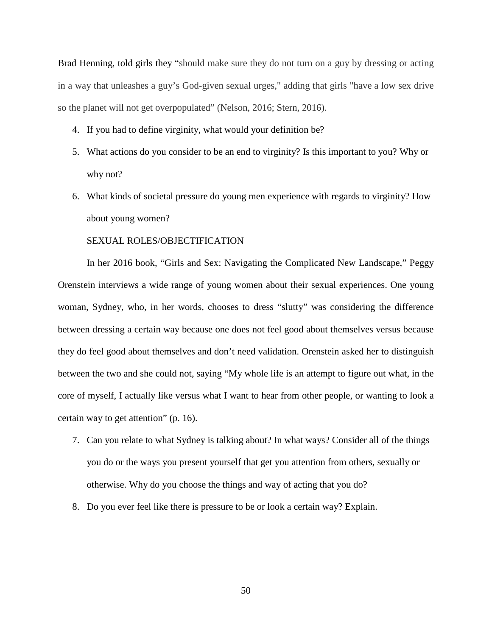Brad Henning, told girls they "should make sure they do not turn on a guy by dressing or acting in a way that unleashes a guy's God-given sexual urges," adding that girls "have a low sex drive so the planet will not get overpopulated" (Nelson, 2016; Stern, 2016).

- 4. If you had to define virginity, what would your definition be?
- 5. What actions do you consider to be an end to virginity? Is this important to you? Why or why not?
- 6. What kinds of societal pressure do young men experience with regards to virginity? How about young women?

# SEXUAL ROLES/OBJECTIFICATION

In her 2016 book, "Girls and Sex: Navigating the Complicated New Landscape," Peggy Orenstein interviews a wide range of young women about their sexual experiences. One young woman, Sydney, who, in her words, chooses to dress "slutty" was considering the difference between dressing a certain way because one does not feel good about themselves versus because they do feel good about themselves and don't need validation. Orenstein asked her to distinguish between the two and she could not, saying "My whole life is an attempt to figure out what, in the core of myself, I actually like versus what I want to hear from other people, or wanting to look a certain way to get attention" (p. 16).

- 7. Can you relate to what Sydney is talking about? In what ways? Consider all of the things you do or the ways you present yourself that get you attention from others, sexually or otherwise. Why do you choose the things and way of acting that you do?
- 8. Do you ever feel like there is pressure to be or look a certain way? Explain.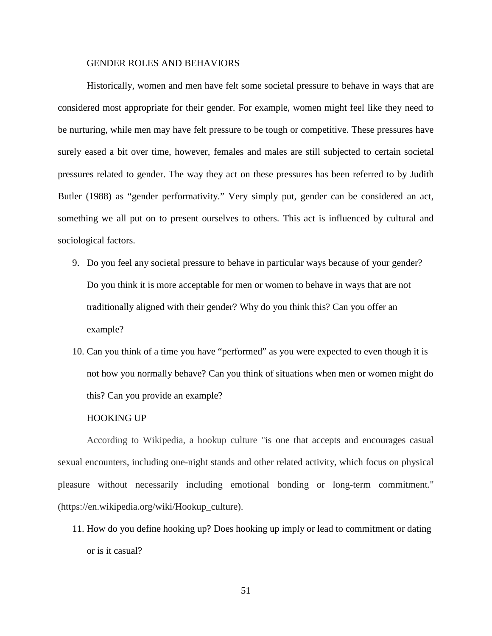#### GENDER ROLES AND BEHAVIORS

Historically, women and men have felt some societal pressure to behave in ways that are considered most appropriate for their gender. For example, women might feel like they need to be nurturing, while men may have felt pressure to be tough or competitive. These pressures have surely eased a bit over time, however, females and males are still subjected to certain societal pressures related to gender. The way they act on these pressures has been referred to by Judith Butler (1988) as "gender performativity." Very simply put, gender can be considered an act, something we all put on to present ourselves to others. This act is influenced by cultural and sociological factors.

- 9. Do you feel any societal pressure to behave in particular ways because of your gender? Do you think it is more acceptable for men or women to behave in ways that are not traditionally aligned with their gender? Why do you think this? Can you offer an example?
- 10. Can you think of a time you have "performed" as you were expected to even though it is not how you normally behave? Can you think of situations when men or women might do this? Can you provide an example?

#### HOOKING UP

According to Wikipedia, a hookup culture "is one that accepts and encourages casual sexual encounters, including one-night stands and other related activity, which focus on physical pleasure without necessarily including emotional bonding or long-term commitment." (https://en.wikipedia.org/wiki/Hookup\_culture).

11. How do you define hooking up? Does hooking up imply or lead to commitment or dating or is it casual?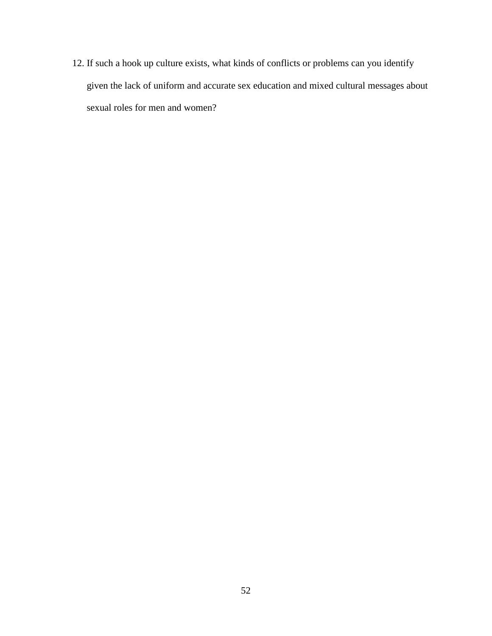12. If such a hook up culture exists, what kinds of conflicts or problems can you identify given the lack of uniform and accurate sex education and mixed cultural messages about sexual roles for men and women?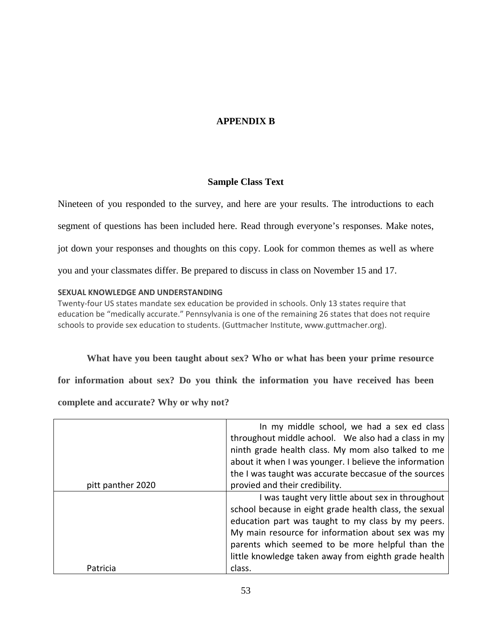# **APPENDIX B**

# **Sample Class Text**

<span id="page-61-0"></span>Nineteen of you responded to the survey, and here are your results. The introductions to each segment of questions has been included here. Read through everyone's responses. Make notes, jot down your responses and thoughts on this copy. Look for common themes as well as where you and your classmates differ. Be prepared to discuss in class on November 15 and 17.

# **SEXUAL KNOWLEDGE AND UNDERSTANDING**

Twenty-four US states mandate sex education be provided in schools. Only 13 states require that education be "medically accurate." Pennsylvania is one of the remaining 26 states that does not require schools to provide sex education to students. (Guttmacher Institute, www.guttmacher.org).

**What have you been taught about sex? Who or what has been your prime resource** 

**for information about sex? Do you think the information you have received has been** 

**complete and accurate? Why or why not?**

|                   | In my middle school, we had a sex ed class<br>throughout middle achool. We also had a class in my |
|-------------------|---------------------------------------------------------------------------------------------------|
|                   | ninth grade health class. My mom also talked to me                                                |
|                   | about it when I was younger. I believe the information                                            |
|                   | the I was taught was accurate beccasue of the sources                                             |
| pitt panther 2020 | provied and their credibility.                                                                    |
|                   | I was taught very little about sex in throughout                                                  |
|                   | school because in eight grade health class, the sexual                                            |
|                   | education part was taught to my class by my peers.                                                |
|                   | My main resource for information about sex was my                                                 |
|                   | parents which seemed to be more helpful than the                                                  |
|                   | little knowledge taken away from eighth grade health                                              |
| Patricia          | class.                                                                                            |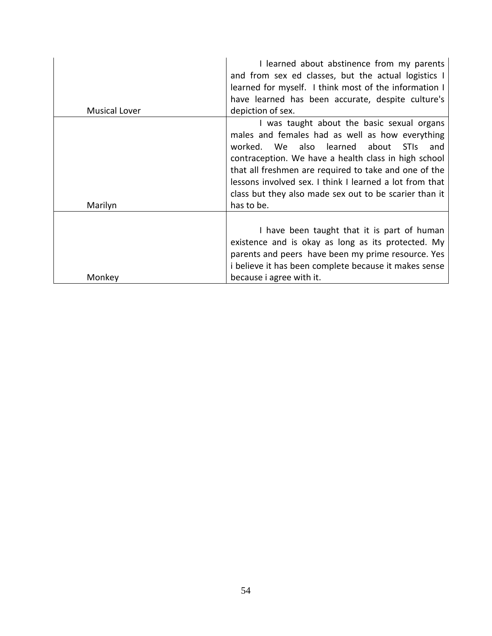|               | I learned about abstinence from my parents<br>and from sex ed classes, but the actual logistics I<br>learned for myself. I think most of the information I<br>have learned has been accurate, despite culture's                                                                                                                                                                               |
|---------------|-----------------------------------------------------------------------------------------------------------------------------------------------------------------------------------------------------------------------------------------------------------------------------------------------------------------------------------------------------------------------------------------------|
| Musical Lover | depiction of sex.                                                                                                                                                                                                                                                                                                                                                                             |
|               | I was taught about the basic sexual organs<br>males and females had as well as how everything<br>We also learned about<br><b>STIS</b><br>worked.<br>and<br>contraception. We have a health class in high school<br>that all freshmen are required to take and one of the<br>lessons involved sex. I think I learned a lot from that<br>class but they also made sex out to be scarier than it |
| Marilyn       | has to be.                                                                                                                                                                                                                                                                                                                                                                                    |
|               | I have been taught that it is part of human<br>existence and is okay as long as its protected. My<br>parents and peers have been my prime resource. Yes<br>i believe it has been complete because it makes sense                                                                                                                                                                              |
| Monkey        | because i agree with it.                                                                                                                                                                                                                                                                                                                                                                      |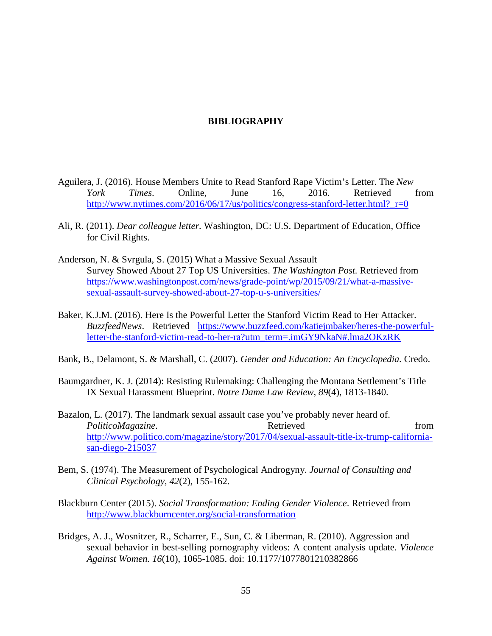# **BIBLIOGRAPHY**

- <span id="page-63-0"></span>Aguilera, J. (2016). House Members Unite to Read Stanford Rape Victim's Letter. The *New York Times*. Online, June 16, 2016. Retrieved from http://www.nytimes.com/2016/06/17/us/politics/congress-stanford-letter.html? r=0
- Ali, R. (2011). *Dear colleague letter.* Washington, DC: U.S. Department of Education, Office for Civil Rights.
- Anderson, N. & Svrgula, S. (2015) What a Massive Sexual Assault Survey Showed About 27 Top US Universities. *The Washington Post.* Retrieved from [https://www.washingtonpost.com/news/grade-point/wp/2015/09/21/what-a-massive](https://www.washingtonpost.com/news/grade-point/wp/2015/09/21/what-a-massive-sexual-assault-survey-showed-about-27-top-u-s-universities/)[sexual-assault-survey-showed-about-27-top-u-s-universities/](https://www.washingtonpost.com/news/grade-point/wp/2015/09/21/what-a-massive-sexual-assault-survey-showed-about-27-top-u-s-universities/)
- Baker, K.J.M. (2016). Here Is the Powerful Letter the Stanford Victim Read to Her Attacker. *BuzzfeedNews*. Retrieved [https://www.buzzfeed.com/katiejmbaker/heres-the-powerful](https://www.buzzfeed.com/katiejmbaker/heres-the-powerful-letter-the-stanford-victim-read-to-her-ra?utm_term=.imGY9NkaN#.lma2OKzRK)[letter-the-stanford-victim-read-to-her-ra?utm\\_term=.imGY9NkaN#.lma2OKzRK](https://www.buzzfeed.com/katiejmbaker/heres-the-powerful-letter-the-stanford-victim-read-to-her-ra?utm_term=.imGY9NkaN#.lma2OKzRK)
- Bank, B., Delamont, S. & Marshall, C. (2007). *Gender and Education: An Encyclopedia.* Credo.
- Baumgardner, K. J. (2014): Resisting Rulemaking: Challenging the Montana Settlement's Title IX Sexual Harassment Blueprint. *Notre Dame Law Review*, *89*(4), 1813-1840.
- Bazalon, L. (2017). The landmark sexual assault case you've probably never heard of. *PoliticoMagazine*. **Retrieved** from [http://www.politico.com/magazine/story/2017/04/sexual-assault-title-ix-trump-california](http://www.politico.com/magazine/story/2017/04/sexual-assault-title-ix-trump-california-san-diego-215037)[san-diego-215037](http://www.politico.com/magazine/story/2017/04/sexual-assault-title-ix-trump-california-san-diego-215037)
- Bem, S. (1974). The Measurement of Psychological Androgyny. *Journal of Consulting and Clinical Psychology, 42*(2), 155-162.
- Blackburn Center (2015). *Social Transformation: Ending Gender Violence*. Retrieved from <http://www.blackburncenter.org/social-transformation>
- Bridges, A. J., Wosnitzer, R., Scharrer, E., Sun, C. & Liberman, R. (2010). Aggression and sexual behavior in best-selling pornography videos: A content analysis update. *Violence Against Women. 16*(10), 1065-1085. doi: 10.1177/1077801210382866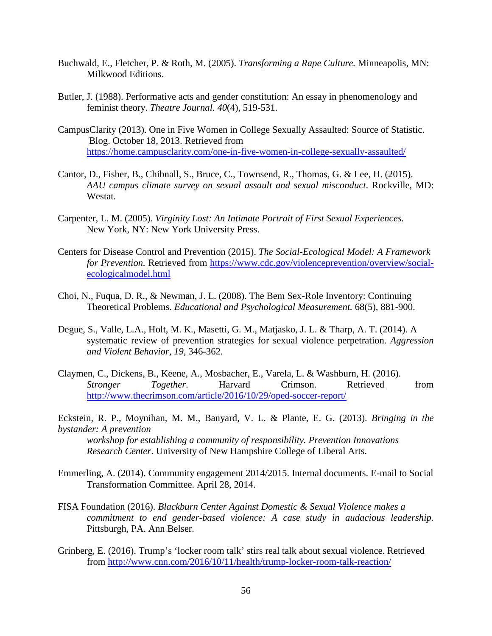- Buchwald, E., Fletcher, P. & Roth, M. (2005). *Transforming a Rape Culture.* Minneapolis, MN: Milkwood Editions.
- Butler, J. (1988). Performative acts and gender constitution: An essay in phenomenology and feminist theory. *Theatre Journal. 40*(4), 519-531.
- CampusClarity (2013). One in Five Women in College Sexually Assaulted: Source of Statistic. Blog. October 18, 2013. Retrieved from <https://home.campusclarity.com/one-in-five-women-in-college-sexually-assaulted/>
- Cantor, D., Fisher, B., Chibnall, S., Bruce, C., Townsend, R., Thomas, G. & Lee, H. (2015). *AAU campus climate survey on sexual assault and sexual misconduct*. Rockville, MD: Westat.
- Carpenter, L. M. (2005). *Virginity Lost: An Intimate Portrait of First Sexual Experiences.*  New York, NY: New York University Press.
- Centers for Disease Control and Prevention (2015). *The Social-Ecological Model: A Framework for Prevention.* Retrieved from [https://www.cdc.gov/violenceprevention/overview/social](https://www.cdc.gov/violenceprevention/overview/social-ecologicalmodel.html)[ecologicalmodel.html](https://www.cdc.gov/violenceprevention/overview/social-ecologicalmodel.html)
- Choi, N., Fuqua, D. R., & Newman, J. L. (2008). The Bem Sex-Role Inventory: Continuing Theoretical Problems. *Educational and Psychological Measurement.* 68(5)*,* 881-900.
- Degue, S., Valle, L.A., Holt, M. K., Masetti, G. M., Matjasko, J. L. & Tharp, A. T. (2014). A systematic review of prevention strategies for sexual violence perpetration. *Aggression and Violent Behavior, 19,* 346-362.
- Claymen, C., Dickens, B., Keene, A., Mosbacher, E., Varela, L. & Washburn, H. (2016). *Stronger Together*. Harvard Crimson. Retrieved from <http://www.thecrimson.com/article/2016/10/29/oped-soccer-report/>

Eckstein, R. P., Moynihan, M. M., Banyard, V. L. & Plante, E. G. (2013). *Bringing in the bystander: A prevention*

*workshop for establishing a community of responsibility. Prevention Innovations Research Center*. University of New Hampshire College of Liberal Arts.

- Emmerling, A. (2014). Community engagement 2014/2015. Internal documents. E-mail to Social Transformation Committee. April 28, 2014.
- FISA Foundation (2016). *Blackburn Center Against Domestic & Sexual Violence makes a commitment to end gender-based violence: A case study in audacious leadership.*  Pittsburgh, PA. Ann Belser.
- Grinberg, E. (2016). Trump's 'locker room talk' stirs real talk about sexual violence. Retrieved from <http://www.cnn.com/2016/10/11/health/trump-locker-room-talk-reaction/>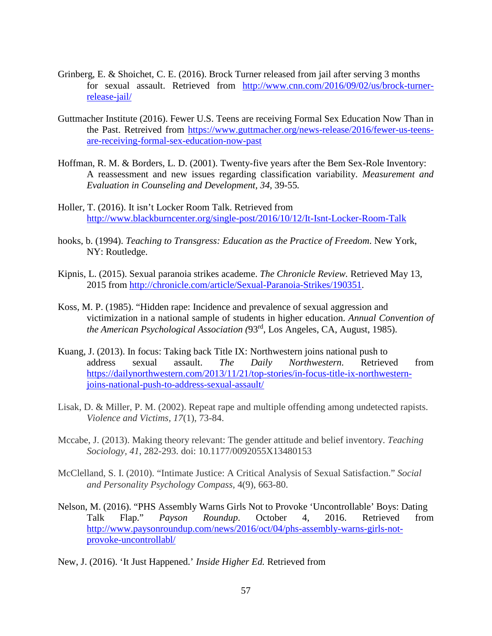- Grinberg, E. & Shoichet, C. E. (2016). Brock Turner released from jail after serving 3 months for sexual assault. Retrieved from [http://www.cnn.com/2016/09/02/us/brock-turner](http://www.cnn.com/2016/09/02/us/brock-turner-release-jail/)[release-jail/](http://www.cnn.com/2016/09/02/us/brock-turner-release-jail/)
- Guttmacher Institute (2016). Fewer U.S. Teens are receiving Formal Sex Education Now Than in the Past. Retreived from [https://www.guttmacher.org/news-release/2016/fewer-us-teens](https://www.guttmacher.org/news-release/2016/fewer-us-teens-are-receiving-formal-sex-education-now-past)[are-receiving-formal-sex-education-now-past](https://www.guttmacher.org/news-release/2016/fewer-us-teens-are-receiving-formal-sex-education-now-past)
- Hoffman, R. M. & Borders, L. D. (2001). Twenty-five years after the Bem Sex-Role Inventory: A reassessment and new issues regarding classification variability. *Measurement and Evaluation in Counseling and Development, 34,* 39-55*.*
- Holler, T. (2016). It isn't Locker Room Talk. Retrieved from <http://www.blackburncenter.org/single-post/2016/10/12/It-Isnt-Locker-Room-Talk>
- hooks, b. (1994). *Teaching to Transgress: Education as the Practice of Freedom*. New York, NY: Routledge.
- Kipnis, L. (2015). Sexual paranoia strikes academe. *The Chronicle Review.* Retrieved May 13, 2015 from [http://chronicle.com/article/Sexual-Paranoia-Strikes/190351.](http://chronicle.com/article/Sexual-Paranoia-Strikes/190351)
- Koss, M. P. (1985). "Hidden rape: Incidence and prevalence of sexual aggression and victimization in a national sample of students in higher education. *Annual Convention of the American Psychological Association (*93rd, Los Angeles, CA, August, 1985).
- Kuang, J. (2013). In focus: Taking back Title IX: Northwestern joins national push to address sexual assault. *The Daily Northwestern*. Retrieved from [https://dailynorthwestern.com/2013/11/21/top-stories/in-focus-title-ix-northwestern](https://dailynorthwestern.com/2013/11/21/top-stories/in-focus-title-ix-northwestern-joins-national-push-to-address-sexual-assault/)[joins-national-push-to-address-sexual-assault/](https://dailynorthwestern.com/2013/11/21/top-stories/in-focus-title-ix-northwestern-joins-national-push-to-address-sexual-assault/)
- Lisak, D. & Miller, P. M. (2002). Repeat rape and multiple offending among undetected rapists. *Violence and Victims, 17*(1), 73-84.
- Mccabe, J. (2013). Making theory relevant: The gender attitude and belief inventory. *Teaching Sociology, 41*, 282-293. doi: 10.1177/0092055X13480153
- McClelland, S. I. (2010). "Intimate Justice: A Critical Analysis of Sexual Satisfaction." *Social and Personality Psychology Compass,* 4(9), 663-80.
- Nelson, M. (2016). "PHS Assembly Warns Girls Not to Provoke 'Uncontrollable' Boys: Dating Talk Flap." *Payson Roundup*. October 4, 2016. Retrieved from [http://www.paysonroundup.com/news/2016/oct/04/phs-assembly-warns-girls-not](http://www.paysonroundup.com/news/2016/oct/04/phs-assembly-warns-girls-not-provoke-uncontrollabl/)[provoke-uncontrollabl/](http://www.paysonroundup.com/news/2016/oct/04/phs-assembly-warns-girls-not-provoke-uncontrollabl/)
- New, J. (2016). 'It Just Happened.' *Inside Higher Ed.* Retrieved from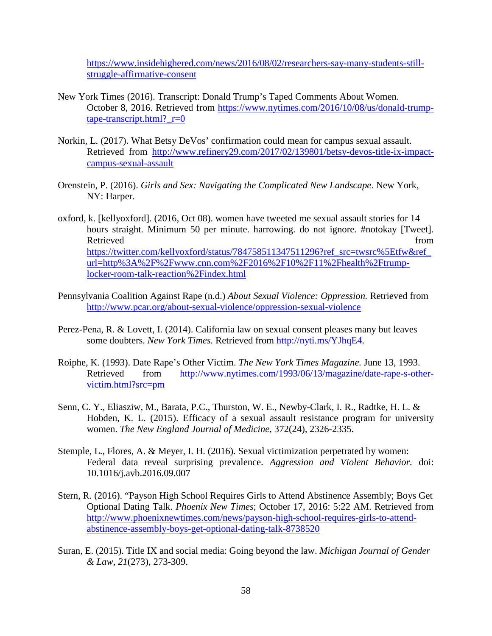[https://www.insidehighered.com/news/2016/08/02/researchers-say-many-students-still](https://www.insidehighered.com/news/2016/08/02/researchers-say-many-students-still-struggle-affirmative-consent)[struggle-affirmative-consent](https://www.insidehighered.com/news/2016/08/02/researchers-say-many-students-still-struggle-affirmative-consent)

- New York Times (2016). Transcript: Donald Trump's Taped Comments About Women. October 8, 2016. Retrieved from [https://www.nytimes.com/2016/10/08/us/donald-trump](https://www.nytimes.com/2016/10/08/us/donald-trump-tape-transcript.html?_r=0)[tape-transcript.html?\\_r=0](https://www.nytimes.com/2016/10/08/us/donald-trump-tape-transcript.html?_r=0)
- Norkin, L. (2017). What Betsy DeVos' confirmation could mean for campus sexual assault. Retrieved from [http://www.refinery29.com/2017/02/139801/betsy-devos-title-ix-impact](http://www.refinery29.com/2017/02/139801/betsy-devos-title-ix-impact-campus-sexual-assault)[campus-sexual-assault](http://www.refinery29.com/2017/02/139801/betsy-devos-title-ix-impact-campus-sexual-assault)
- Orenstein, P. (2016). *Girls and Sex: Navigating the Complicated New Landscape*. New York, NY: Harper.
- oxford, k. [kellyoxford]. (2016, Oct 08). women have tweeted me sexual assault stories for 14 hours straight. Minimum 50 per minute. harrowing. do not ignore. #notokay [Tweet]. Retrieved from the state of the state of the state of the state of the state of the state of the state of the state of the state of the state of the state of the state of the state of the state of the state of the state of https://twitter.com/kellyoxford/status/784758511347511296?ref\_src=twsrc%5Etfw&ref [url=http%3A%2F%2Fwww.cnn.com%2F2016%2F10%2F11%2Fhealth%2Ftrump](https://twitter.com/kellyoxford/status/784758511347511296?ref_src=twsrc%5Etfw&ref_url=http%3A%2F%2Fwww.cnn.com%2F2016%2F10%2F11%2Fhealth%2Ftrump-locker-room-talk-reaction%2Findex.html)[locker-room-talk-reaction%2Findex.html](https://twitter.com/kellyoxford/status/784758511347511296?ref_src=twsrc%5Etfw&ref_url=http%3A%2F%2Fwww.cnn.com%2F2016%2F10%2F11%2Fhealth%2Ftrump-locker-room-talk-reaction%2Findex.html)
- Pennsylvania Coalition Against Rape (n.d.) *About Sexual Violence: Oppression.* Retrieved from <http://www.pcar.org/about-sexual-violence/oppression-sexual-violence>
- Perez-Pena, R. & Lovett, I. (2014). California law on sexual consent pleases many but leaves some doubters. *New York Times.* Retrieved from [http://nyti.ms/YJhqE4.](http://nyti.ms/YJhqE4)
- Roiphe, K. (1993). Date Rape's Other Victim. *The New York Times Magazine.* June 13, 1993. Retrieved from [http://www.nytimes.com/1993/06/13/magazine/date-rape-s-other](http://www.nytimes.com/1993/06/13/magazine/date-rape-s-other-victim.html?src=pm)[victim.html?src=pm](http://www.nytimes.com/1993/06/13/magazine/date-rape-s-other-victim.html?src=pm)
- Senn, C. Y., Eliasziw, M., Barata, P.C., Thurston, W. E., Newby-Clark, I. R., Radtke, H. L. & Hobden, K. L. (2015). Efficacy of a sexual assault resistance program for university women. *The New England Journal of Medicine,* 372(24)*,* 2326-2335.
- Stemple, L., Flores, A. & Meyer, I. H. (2016). Sexual victimization perpetrated by women: Federal data reveal surprising prevalence. *Aggression and Violent Behavior.* doi: 10.1016/j.avb.2016.09.007
- Stern, R. (2016). "Payson High School Requires Girls to Attend Abstinence Assembly; Boys Get Optional Dating Talk. *Phoenix New Times*; October 17, 2016: 5:22 AM. Retrieved from [http://www.phoenixnewtimes.com/news/payson-high-school-requires-girls-to-attend](http://www.phoenixnewtimes.com/news/payson-high-school-requires-girls-to-attend-abstinence-assembly-boys-get-optional-dating-talk-8738520)[abstinence-assembly-boys-get-optional-dating-talk-8738520](http://www.phoenixnewtimes.com/news/payson-high-school-requires-girls-to-attend-abstinence-assembly-boys-get-optional-dating-talk-8738520)
- Suran, E. (2015). Title IX and social media: Going beyond the law. *Michigan Journal of Gender & Law, 21*(273), 273-309.